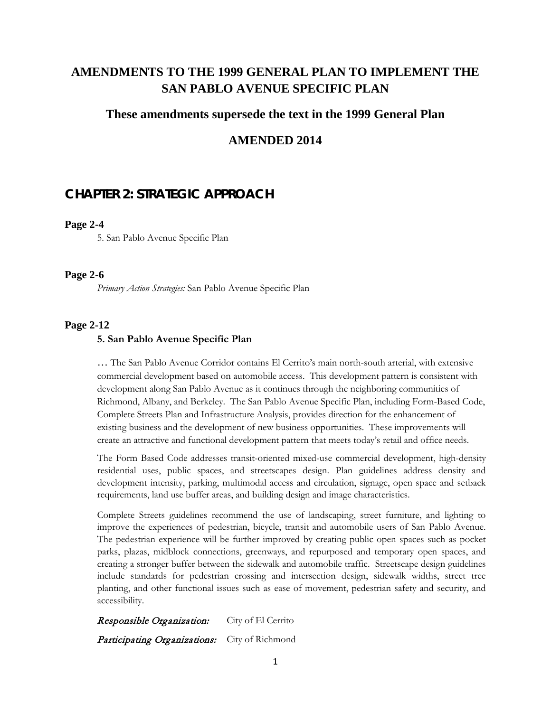# **AMENDMENTS TO THE 1999 GENERAL PLAN TO IMPLEMENT THE SAN PABLO AVENUE SPECIFIC PLAN**

## **These amendments supersede the text in the 1999 General Plan**

## **AMENDED 2014**

# **CHAPTER 2: STRATEGIC APPROACH**

#### **Page 2-4**

5. San Pablo Avenue Specific Plan

#### **Page 2-6**

*Primary Action Strategies:* San Pablo Avenue Specific Plan

#### **Page 2-12**

#### **5. San Pablo Avenue Specific Plan**

… The San Pablo Avenue Corridor contains El Cerrito's main north-south arterial, with extensive commercial development based on automobile access. This development pattern is consistent with development along San Pablo Avenue as it continues through the neighboring communities of Richmond, Albany, and Berkeley. The San Pablo Avenue Specific Plan, including Form-Based Code, Complete Streets Plan and Infrastructure Analysis, provides direction for the enhancement of existing business and the development of new business opportunities. These improvements will create an attractive and functional development pattern that meets today's retail and office needs.

The Form Based Code addresses transit-oriented mixed-use commercial development, high-density residential uses, public spaces, and streetscapes design. Plan guidelines address density and development intensity, parking, multimodal access and circulation, signage, open space and setback requirements, land use buffer areas, and building design and image characteristics.

Complete Streets guidelines recommend the use of landscaping, street furniture, and lighting to improve the experiences of pedestrian, bicycle, transit and automobile users of San Pablo Avenue. The pedestrian experience will be further improved by creating public open spaces such as pocket parks, plazas, midblock connections, greenways, and repurposed and temporary open spaces, and creating a stronger buffer between the sidewalk and automobile traffic. Streetscape design guidelines include standards for pedestrian crossing and intersection design, sidewalk widths, street tree planting, and other functional issues such as ease of movement, pedestrian safety and security, and accessibility.

**Responsible Organization:** City of El Cerrito Participating Organizations: City of Richmond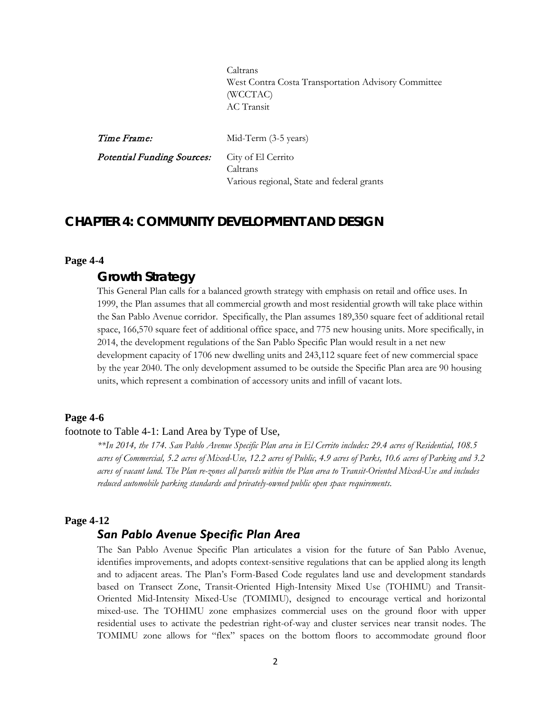Caltrans West Contra Costa Transportation Advisory Committee (WCCTAC) AC Transit

| Time Frame:                                          | Mid-Term (3-5 years)                                   |
|------------------------------------------------------|--------------------------------------------------------|
| <b>Potential Funding Sources:</b> City of El Cerrito | Caltrans<br>Various regional, State and federal grants |

## **CHAPTER 4: COMMUNITY DEVELOPMENT AND DESIGN**

#### **Page 4-4**

## *Growth Strategy*

This General Plan calls for a balanced growth strategy with emphasis on retail and office uses. In 1999, the Plan assumes that all commercial growth and most residential growth will take place within the San Pablo Avenue corridor. Specifically, the Plan assumes 189,350 square feet of additional retail space, 166,570 square feet of additional office space, and 775 new housing units. More specifically, in 2014, the development regulations of the San Pablo Specific Plan would result in a net new development capacity of 1706 new dwelling units and 243,112 square feet of new commercial space by the year 2040. The only development assumed to be outside the Specific Plan area are 90 housing units, which represent a combination of accessory units and infill of vacant lots.

#### **Page 4-6**

#### footnote to Table 4-1: Land Area by Type of Use,

*\*\*In 2014, the 174. San Pablo Avenue Specific Plan area in El Cerrito includes: 29.4 acres of Residential, 108.5 acres of Commercial, 5.2 acres of Mixed-Use, 12.2 acres of Public, 4.9 acres of Parks, 10.6 acres of Parking and 3.2 acres of vacant land. The Plan re-zones all parcels within the Plan area to Transit-Oriented Mixed-Use and includes reduced automobile parking standards and privately-owned public open space requirements.*

### **Page 4-12**

## *San Pablo Avenue Specific Plan Area*

The San Pablo Avenue Specific Plan articulates a vision for the future of San Pablo Avenue, identifies improvements, and adopts context-sensitive regulations that can be applied along its length and to adjacent areas. The Plan's Form-Based Code regulates land use and development standards based on Transect Zone, Transit-Oriented High-Intensity Mixed Use (TOHIMU) and Transit-Oriented Mid-Intensity Mixed-Use (TOMIMU), designed to encourage vertical and horizontal mixed-use. The TOHIMU zone emphasizes commercial uses on the ground floor with upper residential uses to activate the pedestrian right-of-way and cluster services near transit nodes. The TOMIMU zone allows for "flex" spaces on the bottom floors to accommodate ground floor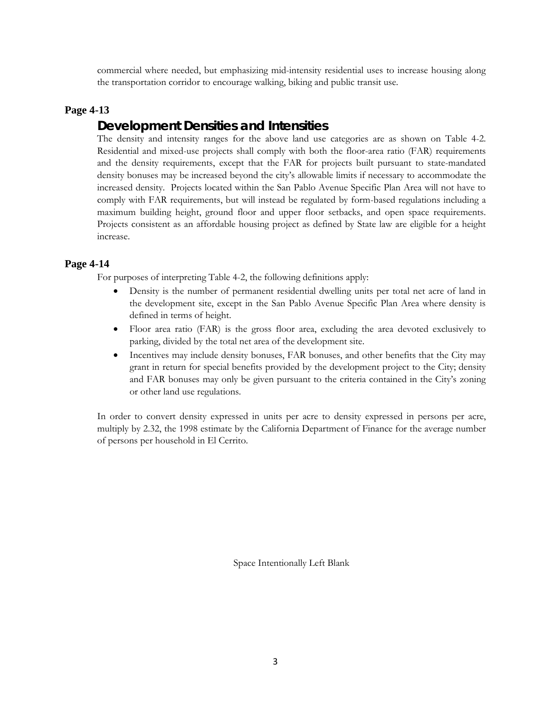commercial where needed, but emphasizing mid-intensity residential uses to increase housing along the transportation corridor to encourage walking, biking and public transit use.

## **Page 4-13**

# *Development Densities and Intensities*

The density and intensity ranges for the above land use categories are as shown on Table 4-2. Residential and mixed-use projects shall comply with both the floor-area ratio (FAR) requirements and the density requirements, except that the FAR for projects built pursuant to state-mandated density bonuses may be increased beyond the city's allowable limits if necessary to accommodate the increased density. Projects located within the San Pablo Avenue Specific Plan Area will not have to comply with FAR requirements, but will instead be regulated by form-based regulations including a maximum building height, ground floor and upper floor setbacks, and open space requirements. Projects consistent as an affordable housing project as defined by State law are eligible for a height increase.

## **Page 4-14**

For purposes of interpreting Table 4-2, the following definitions apply:

- Density is the number of permanent residential dwelling units per total net acre of land in the development site, except in the San Pablo Avenue Specific Plan Area where density is defined in terms of height.
- Floor area ratio (FAR) is the gross floor area, excluding the area devoted exclusively to parking, divided by the total net area of the development site.
- Incentives may include density bonuses, FAR bonuses, and other benefits that the City may grant in return for special benefits provided by the development project to the City; density and FAR bonuses may only be given pursuant to the criteria contained in the City's zoning or other land use regulations.

In order to convert density expressed in units per acre to density expressed in persons per acre, multiply by 2.32, the 1998 estimate by the California Department of Finance for the average number of persons per household in El Cerrito.

Space Intentionally Left Blank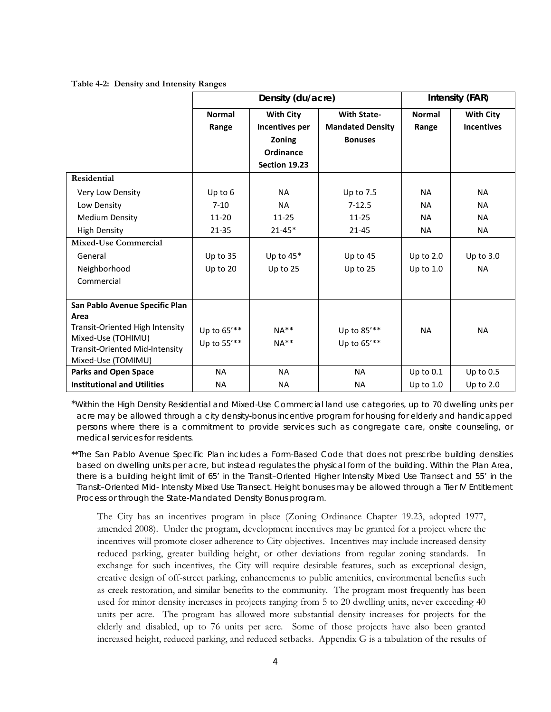#### **Table 4-2: Density and Intensity Ranges**

|                                                             |               | Density (du/acre) |                         | <b>Intensity (FAR)</b> |                   |
|-------------------------------------------------------------|---------------|-------------------|-------------------------|------------------------|-------------------|
|                                                             | <b>Normal</b> | <b>With City</b>  | <b>With State-</b>      | <b>Normal</b>          | <b>With City</b>  |
|                                                             | Range         | Incentives per    | <b>Mandated Density</b> | Range                  | <b>Incentives</b> |
|                                                             |               | Zoning            | <b>Bonuses</b>          |                        |                   |
|                                                             |               | Ordinance         |                         |                        |                   |
|                                                             |               | Section 19.23     |                         |                        |                   |
| Residential                                                 |               |                   |                         |                        |                   |
| Very Low Density                                            | Up to 6       | <b>NA</b>         | Up to 7.5               | <b>NA</b>              | <b>NA</b>         |
| Low Density                                                 | $7-10$        | <b>NA</b>         | $7 - 12.5$              | <b>NA</b>              | <b>NA</b>         |
| <b>Medium Density</b>                                       | 11-20         | $11 - 25$         | $11 - 25$               | <b>NA</b>              | <b>NA</b>         |
| <b>High Density</b>                                         | $21 - 35$     | $21 - 45*$        | $21 - 45$               | <b>NA</b>              | <b>NA</b>         |
| <b>Mixed-Use Commercial</b>                                 |               |                   |                         |                        |                   |
| General                                                     | Up to 35      | Up to $45*$       | Up to $45$              | Up to $2.0$            | Up to $3.0$       |
| Neighborhood                                                | Up to 20      | Up to $25$        | Up to 25                | Up to $1.0$            | <b>NA</b>         |
| Commercial                                                  |               |                   |                         |                        |                   |
|                                                             |               |                   |                         |                        |                   |
| San Pablo Avenue Specific Plan                              |               |                   |                         |                        |                   |
| Area                                                        |               |                   |                         |                        |                   |
| Transit-Oriented High Intensity                             | Up to 65'**   | $NA**$            | Up to 85'**             | <b>NA</b>              | <b>NA</b>         |
| Mixed-Use (TOHIMU)<br><b>Transit-Oriented Mid-Intensity</b> | Up to 55'**   | $NA**$            | Up to 65'**             |                        |                   |
| Mixed-Use (TOMIMU)                                          |               |                   |                         |                        |                   |
| <b>Parks and Open Space</b>                                 | <b>NA</b>     | <b>NA</b>         | <b>NA</b>               | Up to $0.1$            | Up to $0.5$       |
| <b>Institutional and Utilities</b>                          | <b>NA</b>     | NA                | <b>NA</b>               | Up to $1.0$            | Up to $2.0$       |

\**Within the High Density Residential and Mixed-Use Commercial land use categories, up to 70 dwelling units per acre may be allowed through a city density-bonus incentive program for housing for elderly and handicapped persons where there is a commitment to provide services such as congregate care, onsite counseling, or medical services for residents.*

*\*\*The San Pablo Avenue Specific Plan includes a Form-Based Code that does not prescribe building densities based on dwelling units per acre, but instead regulates the physical form of the building. Within the Plan Area, there is a building height limit of 65' in the Transit–Oriented Higher Intensity Mixed Use Transect and 55' in the Transit–Oriented Mid- Intensity Mixed Use Transect. Height bonuses may be allowed through a Tier IV Entitlement Process or through the State-Mandated Density Bonus program.*

The City has an incentives program in place (Zoning Ordinance Chapter 19.23, adopted 1977, amended 2008). Under the program, development incentives may be granted for a project where the incentives will promote closer adherence to City objectives. Incentives may include increased density reduced parking, greater building height, or other deviations from regular zoning standards. In exchange for such incentives, the City will require desirable features, such as exceptional design, creative design of off-street parking, enhancements to public amenities, environmental benefits such as creek restoration, and similar benefits to the community. The program most frequently has been used for minor density increases in projects ranging from 5 to 20 dwelling units, never exceeding 40 units per acre. The program has allowed more substantial density increases for projects for the elderly and disabled, up to 76 units per acre. Some of those projects have also been granted increased height, reduced parking, and reduced setbacks. Appendix G is a tabulation of the results of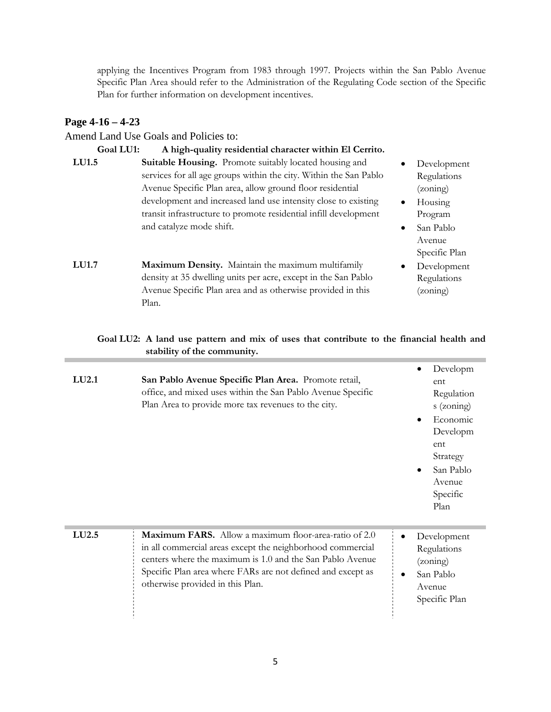applying the Incentives Program from 1983 through 1997. Projects within the San Pablo Avenue Specific Plan Area should refer to the Administration of the Regulating Code section of the Specific Plan for further information on development incentives.

## **Page 4-16 – 4-23**

Amend Land Use Goals and Policies to:

| Goal LU1:    | A high-quality residential character within El Cerrito.                                                                                                                                                                                                                                                                        |                        |                                                                                |
|--------------|--------------------------------------------------------------------------------------------------------------------------------------------------------------------------------------------------------------------------------------------------------------------------------------------------------------------------------|------------------------|--------------------------------------------------------------------------------|
| <b>LU1.5</b> | Suitable Housing. Promote suitably located housing and<br>services for all age groups within the city. Within the San Pablo<br>Avenue Specific Plan area, allow ground floor residential<br>development and increased land use intensity close to existing<br>transit infrastructure to promote residential infill development | $\bullet$              | Development<br>Regulations<br>(zoning)<br>Housing<br>Program                   |
| <b>LU1.7</b> | and catalyze mode shift.<br>Maximum Density. Maintain the maximum multifamily<br>density at 35 dwelling units per acre, except in the San Pablo<br>Avenue Specific Plan area and as otherwise provided in this<br>Plan.                                                                                                        | $\bullet$<br>$\bullet$ | San Pablo<br>Avenue<br>Specific Plan<br>Development<br>Regulations<br>(zoning) |

## **Goal LU2: A land use pattern and mix of uses that contribute to the financial health and stability of the community.**

| LU2.1             | San Pablo Avenue Specific Plan Area. Promote retail,<br>office, and mixed uses within the San Pablo Avenue Specific<br>Plan Area to provide more tax revenues to the city.                                                                                                          | Developm<br>ent<br>Regulation<br>s (zoning)<br>Economic<br>Developm<br>ent<br>Strategy<br>San Pablo<br>$\bullet$<br>Avenue<br>Specific<br>Plan |
|-------------------|-------------------------------------------------------------------------------------------------------------------------------------------------------------------------------------------------------------------------------------------------------------------------------------|------------------------------------------------------------------------------------------------------------------------------------------------|
| LU <sub>2.5</sub> | Maximum FARS. Allow a maximum floor-area-ratio of 2.0<br>in all commercial areas except the neighborhood commercial<br>centers where the maximum is 1.0 and the San Pablo Avenue<br>Specific Plan area where FARs are not defined and except as<br>otherwise provided in this Plan. | Development<br>Regulations<br>(zoning)<br>San Pablo<br>Avenue<br>Specific Plan                                                                 |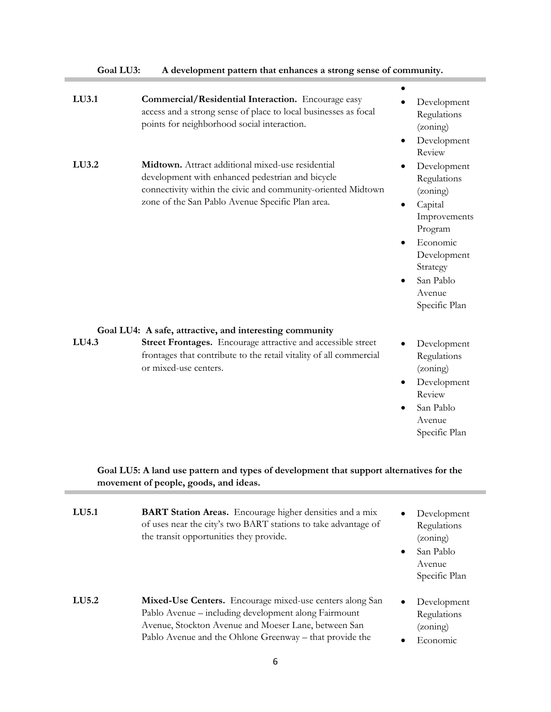| Goal LU3: | A development pattern that enhances a strong sense of community.                                                                                                                                                          |                                                                                                                                                                                                |
|-----------|---------------------------------------------------------------------------------------------------------------------------------------------------------------------------------------------------------------------------|------------------------------------------------------------------------------------------------------------------------------------------------------------------------------------------------|
| LU3.1     | Commercial/Residential Interaction. Encourage easy<br>access and a strong sense of place to local businesses as focal<br>points for neighborhood social interaction.                                                      | Development<br>Regulations<br>(zoning)                                                                                                                                                         |
| LU3.2     | Midtown. Attract additional mixed-use residential<br>development with enhanced pedestrian and bicycle<br>connectivity within the civic and community-oriented Midtown<br>zone of the San Pablo Avenue Specific Plan area. | Development<br>٠<br>Review<br>Development<br>Regulations<br>(zoning)<br>Capital<br>٠<br>Improvements<br>Program<br>Economic<br>Development<br>Strategy<br>San Pablo<br>Avenue<br>Specific Plan |
|           | Goal LU4: A safe, attractive, and interesting community                                                                                                                                                                   |                                                                                                                                                                                                |
| LU4.3     | Street Frontages. Encourage attractive and accessible street<br>frontages that contribute to the retail vitality of all commercial<br>or mixed-use centers.                                                               | Development<br>Regulations<br>(zoning)<br>Development<br>Review<br>San Pablo<br>$\bullet$<br>Avenue<br>Specific Plan                                                                           |

## **Goal LU5: A land use pattern and types of development that support alternatives for the movement of people, goods, and ideas.**

п

| LU5.1 | <b>BART Station Areas.</b> Encourage higher densities and a mix<br>of uses near the city's two BART stations to take advantage of<br>the transit opportunities they provide.                                                        | Development<br>$\bullet$<br>Regulations<br>(zoning)<br>San Pablo<br>$\bullet$<br>Avenue<br>Specific Plan |
|-------|-------------------------------------------------------------------------------------------------------------------------------------------------------------------------------------------------------------------------------------|----------------------------------------------------------------------------------------------------------|
| LU5.2 | Mixed-Use Centers. Encourage mixed-use centers along San<br>Pablo Avenue – including development along Fairmount<br>Avenue, Stockton Avenue and Moeser Lane, between San<br>Pablo Avenue and the Ohlone Greenway – that provide the | Development<br>$\bullet$<br>Regulations<br>(zoning)<br>Economic                                          |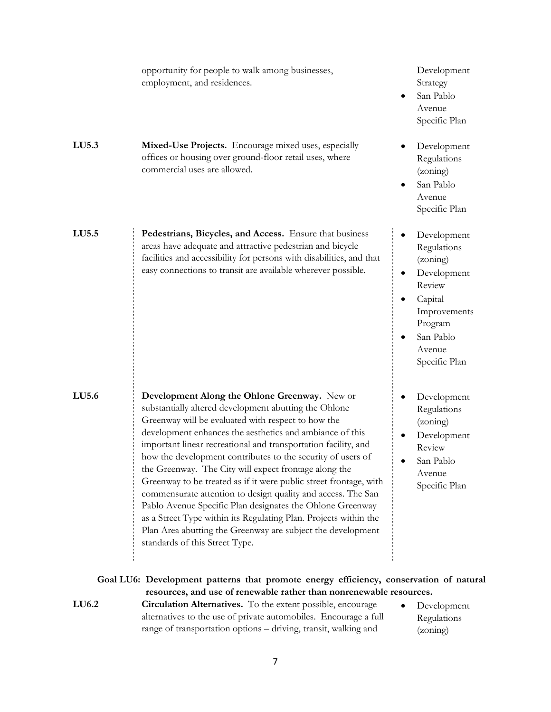|       | opportunity for people to walk among businesses,<br>employment, and residences.                                                                                                                                                                                                                                                                                                                                                                                                                                                                                                                                                                                                                                                                                                           | Development<br>Strategy<br>San Pablo<br>Avenue<br>Specific Plan                                                                                         |
|-------|-------------------------------------------------------------------------------------------------------------------------------------------------------------------------------------------------------------------------------------------------------------------------------------------------------------------------------------------------------------------------------------------------------------------------------------------------------------------------------------------------------------------------------------------------------------------------------------------------------------------------------------------------------------------------------------------------------------------------------------------------------------------------------------------|---------------------------------------------------------------------------------------------------------------------------------------------------------|
| LU5.3 | Mixed-Use Projects. Encourage mixed uses, especially<br>offices or housing over ground-floor retail uses, where<br>commercial uses are allowed.                                                                                                                                                                                                                                                                                                                                                                                                                                                                                                                                                                                                                                           | Development<br>Regulations<br>(zoning)<br>San Pablo<br>Avenue<br>Specific Plan                                                                          |
| LU5.5 | Pedestrians, Bicycles, and Access. Ensure that business<br>areas have adequate and attractive pedestrian and bicycle<br>facilities and accessibility for persons with disabilities, and that<br>easy connections to transit are available wherever possible.                                                                                                                                                                                                                                                                                                                                                                                                                                                                                                                              | Development<br>Regulations<br>(zoning)<br>Development<br>٠<br>Review<br>Capital<br>٠<br>Improvements<br>Program<br>San Pablo<br>Avenue<br>Specific Plan |
| LU5.6 | Development Along the Ohlone Greenway. New or<br>substantially altered development abutting the Ohlone<br>Greenway will be evaluated with respect to how the<br>development enhances the aesthetics and ambiance of this<br>important linear recreational and transportation facility, and<br>how the development contributes to the security of users of<br>the Greenway. The City will expect frontage along the<br>Greenway to be treated as if it were public street frontage, with<br>commensurate attention to design quality and access. The San<br>Pablo Avenue Specific Plan designates the Ohlone Greenway<br>as a Street Type within its Regulating Plan. Projects within the<br>Plan Area abutting the Greenway are subject the development<br>standards of this Street Type. | Development<br>Regulations<br>(zoning)<br>Development<br>Review<br>San Pablo<br>Avenue<br>Specific Plan                                                 |
|       | Goal LU6: Development patterns that promote energy efficiency, conservation of natural<br>resources, and use of renewable rather than nonrenewable resources.                                                                                                                                                                                                                                                                                                                                                                                                                                                                                                                                                                                                                             |                                                                                                                                                         |
| LU6.2 | <b>Circulation Alternatives.</b> To the extent possible, encourage<br>alternatives to the use of private automobiles. Encourage a full<br>range of transportation options - driving, transit, walking and                                                                                                                                                                                                                                                                                                                                                                                                                                                                                                                                                                                 | Development<br>Regulations<br>(zoning)                                                                                                                  |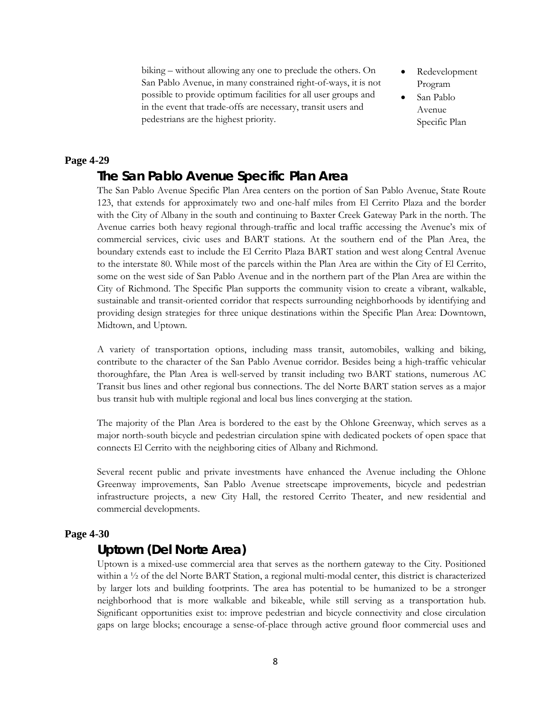biking – without allowing any one to preclude the others. On San Pablo Avenue, in many constrained right-of-ways, it is not possible to provide optimum facilities for all user groups and in the event that trade-offs are necessary, transit users and pedestrians are the highest priority.

- Redevelopment Program
- San Pablo Avenue Specific Plan

### **Page 4-29**

## *The San Pablo Avenue Specific Plan Area*

The San Pablo Avenue Specific Plan Area centers on the portion of San Pablo Avenue, State Route 123, that extends for approximately two and one-half miles from El Cerrito Plaza and the border with the City of Albany in the south and continuing to Baxter Creek Gateway Park in the north. The Avenue carries both heavy regional through-traffic and local traffic accessing the Avenue's mix of commercial services, civic uses and BART stations. At the southern end of the Plan Area, the boundary extends east to include the El Cerrito Plaza BART station and west along Central Avenue to the interstate 80. While most of the parcels within the Plan Area are within the City of El Cerrito, some on the west side of San Pablo Avenue and in the northern part of the Plan Area are within the City of Richmond. The Specific Plan supports the community vision to create a vibrant, walkable, sustainable and transit-oriented corridor that respects surrounding neighborhoods by identifying and providing design strategies for three unique destinations within the Specific Plan Area: Downtown, Midtown, and Uptown.

A variety of transportation options, including mass transit, automobiles, walking and biking, contribute to the character of the San Pablo Avenue corridor. Besides being a high-traffic vehicular thoroughfare, the Plan Area is well-served by transit including two BART stations, numerous AC Transit bus lines and other regional bus connections. The del Norte BART station serves as a major bus transit hub with multiple regional and local bus lines converging at the station.

The majority of the Plan Area is bordered to the east by the Ohlone Greenway, which serves as a major north-south bicycle and pedestrian circulation spine with dedicated pockets of open space that connects El Cerrito with the neighboring cities of Albany and Richmond.

Several recent public and private investments have enhanced the Avenue including the Ohlone Greenway improvements, San Pablo Avenue streetscape improvements, bicycle and pedestrian infrastructure projects, a new City Hall, the restored Cerrito Theater, and new residential and commercial developments.

### **Page 4-30**

## *Uptown (Del Norte Area)*

Uptown is a mixed-use commercial area that serves as the northern gateway to the City. Positioned within a ½ of the del Norte BART Station, a regional multi-modal center, this district is characterized by larger lots and building footprints. The area has potential to be humanized to be a stronger neighborhood that is more walkable and bikeable, while still serving as a transportation hub. Significant opportunities exist to: improve pedestrian and bicycle connectivity and close circulation gaps on large blocks; encourage a sense-of-place through active ground floor commercial uses and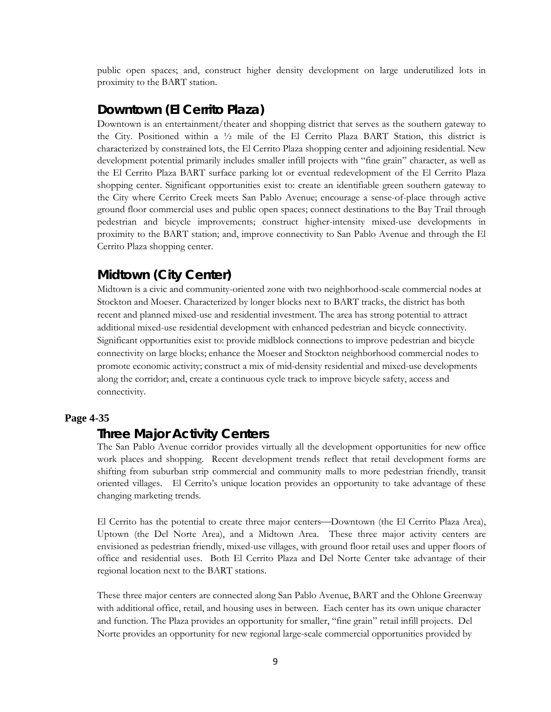public open spaces; and, construct higher density development on large underutilized lots in proximity to the BART station.

## *Downtown (El Cerrito Plaza)*

Downtown is an entertainment/theater and shopping district that serves as the southern gateway to the City. Positioned within a  $\frac{1}{2}$  mile of the El Cerrito Plaza BART Station, this district is characterized by constrained lots, the El Cerrito Plaza shopping center and adjoining residential. New development potential primarily includes smaller infill projects with "fine grain" character, as well as the El Cerrito Plaza BART surface parking lot or eventual redevelopment of the El Cerrito Plaza shopping center. Significant opportunities exist to: create an identifiable green southern gateway to the City where Cerrito Creek meets San Pablo Avenue; encourage a sense-of-place through active ground floor commercial uses and public open spaces; connect destinations to the Bay Trail through pedestrian and bicycle improvements; construct higher-intensity mixed-use developments in proximity to the BART station; and, improve connectivity to San Pablo Avenue and through the El Cerrito Plaza shopping center.

## *Midtown (City Center)*

Midtown is a civic and community-oriented zone with two neighborhood-scale commercial nodes at Stockton and Moeser. Characterized by longer blocks next to BART tracks, the district has both recent and planned mixed-use and residential investment. The area has strong potential to attract additional mixed-use residential development with enhanced pedestrian and bicycle connectivity. Significant opportunities exist to: provide midblock connections to improve pedestrian and bicycle connectivity on large blocks; enhance the Moeser and Stockton neighborhood commercial nodes to promote economic activity; construct a mix of mid-density residential and mixed-use developments along the corridor; and, create a continuous cycle track to improve bicycle safety, access and connectivity.

#### **Page 4-35**

## *Three Major Activity Centers*

The San Pablo Avenue corridor provides virtually all the development opportunities for new office work places and shopping. Recent development trends reflect that retail development forms are shifting from suburban strip commercial and community malls to more pedestrian friendly, transit oriented villages. El Cerrito's unique location provides an opportunity to take advantage of these changing marketing trends.

El Cerrito has the potential to create three major centers—Downtown (the El Cerrito Plaza Area), Uptown (the Del Norte Area), and a Midtown Area. These three major activity centers are envisioned as pedestrian friendly, mixed-use villages, with ground floor retail uses and upper floors of office and residential uses. Both El Cerrito Plaza and Del Norte Center take advantage of their regional location next to the BART stations.

These three major centers are connected along San Pablo Avenue, BART and the Ohlone Greenway with additional office, retail, and housing uses in between. Each center has its own unique character and function. The Plaza provides an opportunity for smaller, "fine grain" retail infill projects. Del Norte provides an opportunity for new regional large-scale commercial opportunities provided by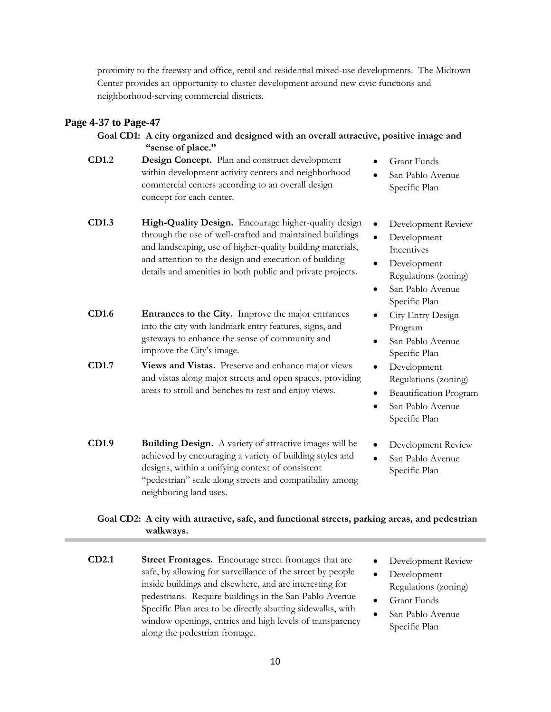proximity to the freeway and office, retail and residential mixed-use developments. The Midtown Center provides an opportunity to cluster development around new civic functions and neighborhood-serving commercial districts.

### **Page 4-37 to Page-47**

**Goal CD1: A city organized and designed with an overall attractive, positive image and "sense of place."** 

- **CD1.2 Design Concept.** Plan and construct development within development activity centers and neighborhood commercial centers according to an overall design concept for each center.
- **CD1.3 High-Quality Design.** Encourage higher-quality design through the use of well-crafted and maintained buildings and landscaping, use of higher-quality building materials, and attention to the design and execution of building details and amenities in both public and private projects.
- **CD1.6 Entrances to the City.** Improve the major entrances into the city with landmark entry features, signs, and gateways to enhance the sense of community and improve the City's image.
- **CD1.7 Views and Vistas.** Preserve and enhance major views and vistas along major streets and open spaces, providing areas to stroll and benches to rest and enjoy views.
- **CD1.9 Building Design.** A variety of attractive images will be achieved by encouraging a variety of building styles and designs, within a unifying context of consistent "pedestrian" scale along streets and compatibility among neighboring land uses.
- Grant Funds
- San Pablo Avenue Specific Plan
- Development Review
- Development Incentives
- Development Regulations (zoning)
- San Pablo Avenue Specific Plan
- City Entry Design Program
- San Pablo Avenue Specific Plan
- Development Regulations (zoning)
- Beautification Program
- San Pablo Avenue Specific Plan
- Development Review
- San Pablo Avenue Specific Plan

## **Goal CD2: A city with attractive, safe, and functional streets, parking areas, and pedestrian walkways.**

- **CD2.1 Street Frontages.** Encourage street frontages that are safe, by allowing for surveillance of the street by people inside buildings and elsewhere, and are interesting for pedestrians. Require buildings in the San Pablo Avenue Specific Plan area to be directly abutting sidewalks, with window openings, entries and high levels of transparency along the pedestrian frontage.
- Development Review
- Development Regulations (zoning)
- Grant Funds
- San Pablo Avenue Specific Plan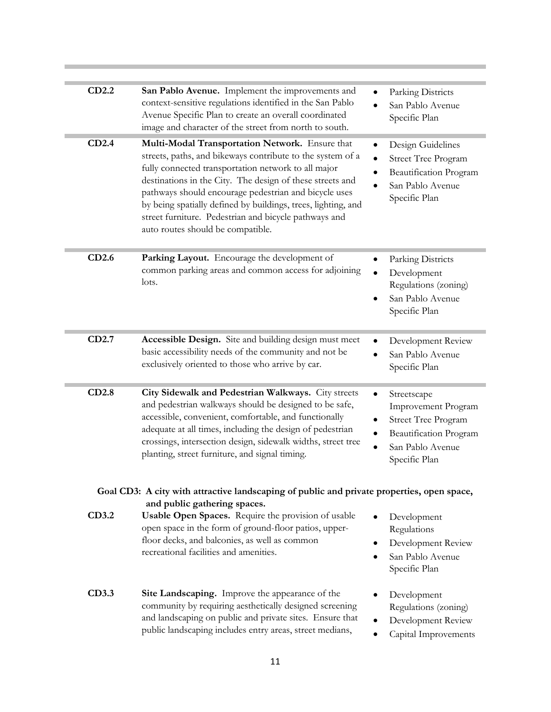| CD2.2 | San Pablo Avenue. Implement the improvements and<br>context-sensitive regulations identified in the San Pablo<br>Avenue Specific Plan to create an overall coordinated<br>image and character of the street from north to south.                                                                                                                                                                                                                          | Parking Districts<br>San Pablo Avenue<br>Specific Plan                                                                          |
|-------|-----------------------------------------------------------------------------------------------------------------------------------------------------------------------------------------------------------------------------------------------------------------------------------------------------------------------------------------------------------------------------------------------------------------------------------------------------------|---------------------------------------------------------------------------------------------------------------------------------|
| CD2.4 | Multi-Modal Transportation Network. Ensure that<br>streets, paths, and bikeways contribute to the system of a<br>fully connected transportation network to all major<br>destinations in the City. The design of these streets and<br>pathways should encourage pedestrian and bicycle uses<br>by being spatially defined by buildings, trees, lighting, and<br>street furniture. Pedestrian and bicycle pathways and<br>auto routes should be compatible. | Design Guidelines<br><b>Street Tree Program</b><br>Beautification Program<br>San Pablo Avenue<br>Specific Plan                  |
| CD2.6 | Parking Layout. Encourage the development of<br>common parking areas and common access for adjoining<br>lots.                                                                                                                                                                                                                                                                                                                                             | Parking Districts<br>Development<br>Regulations (zoning)<br>San Pablo Avenue<br>Specific Plan                                   |
| CD2.7 | Accessible Design. Site and building design must meet<br>basic accessibility needs of the community and not be<br>exclusively oriented to those who arrive by car.                                                                                                                                                                                                                                                                                        | Development Review<br>San Pablo Avenue<br>Specific Plan                                                                         |
| CD2.8 | City Sidewalk and Pedestrian Walkways. City streets<br>and pedestrian walkways should be designed to be safe,<br>accessible, convenient, comfortable, and functionally<br>adequate at all times, including the design of pedestrian<br>crossings, intersection design, sidewalk widths, street tree<br>planting, street furniture, and signal timing.                                                                                                     | Streetscape<br>Improvement Program<br><b>Street Tree Program</b><br>Beautification Program<br>San Pablo Avenue<br>Specific Plan |
|       | Goal CD3: A city with attractive landscaping of public and private properties, open space,                                                                                                                                                                                                                                                                                                                                                                |                                                                                                                                 |
| CD3.2 | and public gathering spaces.<br>Usable Open Spaces. Require the provision of usable<br>open space in the form of ground-floor patios, upper-<br>floor decks, and balconies, as well as common<br>recreational facilities and amenities.                                                                                                                                                                                                                   | Development<br>Regulations<br>Development Review<br>San Pablo Avenue<br>Specific Plan                                           |
| CD3.3 | Site Landscaping. Improve the appearance of the<br>community by requiring aesthetically designed screening<br>and landscaping on public and private sites. Ensure that<br>public landscaping includes entry areas, street medians,                                                                                                                                                                                                                        | Development<br>Regulations (zoning)<br>Development Review<br>Capital Improvements                                               |

**COL**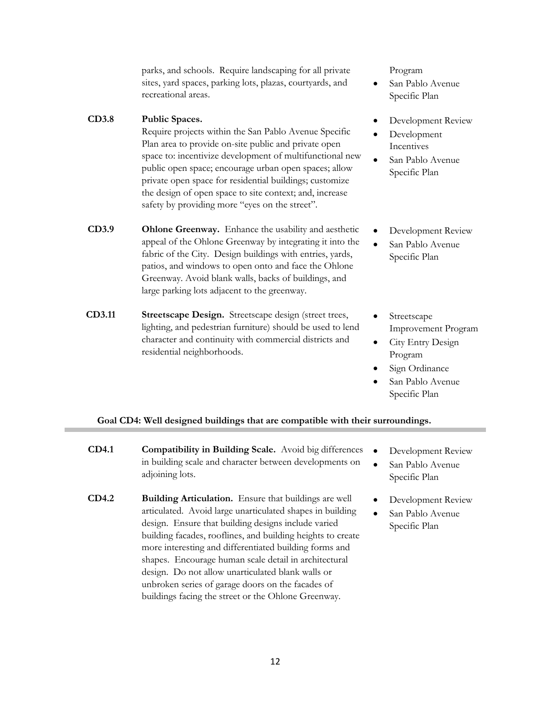parks, and schools. Require landscaping for all private sites, yard spaces, parking lots, plazas, courtyards, and recreational areas.

### **CD3.8 Public Spaces.**

Require projects within the San Pablo Avenue Specific Plan area to provide on-site public and private open space to: incentivize development of multifunctional new public open space; encourage urban open spaces; allow private open space for residential buildings; customize the design of open space to site context; and, increase safety by providing more "eyes on the street".

- **CD3.9 Ohlone Greenway.** Enhance the usability and aesthetic appeal of the Ohlone Greenway by integrating it into the fabric of the City. Design buildings with entries, yards, patios, and windows to open onto and face the Ohlone Greenway. Avoid blank walls, backs of buildings, and large parking lots adjacent to the greenway.
- **CD3.11 Streetscape Design.** Streetscape design (street trees, lighting, and pedestrian furniture) should be used to lend character and continuity with commercial districts and residential neighborhoods.

Program

- San Pablo Avenue Specific Plan
- Development Review
- Development **Incentives**
- San Pablo Avenue Specific Plan
- Development Review
- San Pablo Avenue Specific Plan
- **Streetscape** Improvement Program
- City Entry Design Program
- Sign Ordinance
- San Pablo Avenue Specific Plan

#### **Goal CD4: Well designed buildings that are compatible with their surroundings.**

- **CD4.1 Compatibility in Building Scale.** Avoid big differences in building scale and character between developments on adjoining lots.
- **CD4.2 Building Articulation.** Ensure that buildings are well articulated. Avoid large unarticulated shapes in building design. Ensure that building designs include varied building facades, rooflines, and building heights to create more interesting and differentiated building forms and shapes. Encourage human scale detail in architectural design. Do not allow unarticulated blank walls or unbroken series of garage doors on the facades of buildings facing the street or the Ohlone Greenway.
- Development Review
- San Pablo Avenue Specific Plan
- Development Review
- San Pablo Avenue Specific Plan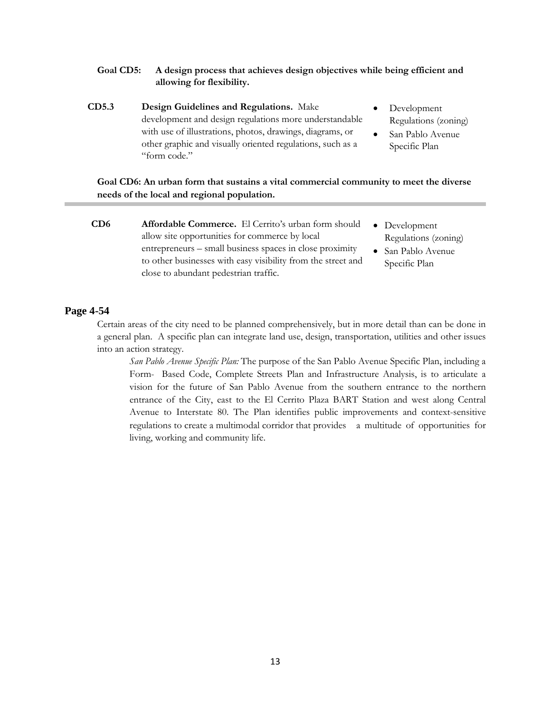### **Goal CD5: A design process that achieves design objectives while being efficient and allowing for flexibility.**

- **CD5.3 Design Guidelines and Regulations.** Make development and design regulations more understandable with use of illustrations, photos, drawings, diagrams, or other graphic and visually oriented regulations, such as a "form code."
- Development Regulations (zoning)
- San Pablo Avenue Specific Plan

### **Goal CD6: An urban form that sustains a vital commercial community to meet the diverse needs of the local and regional population.**

**CD6 Affordable Commerce.** El Cerrito's urban form should allow site opportunities for commerce by local entrepreneurs – small business spaces in close proximity to other businesses with easy visibility from the street and close to abundant pedestrian traffic. • Development Regulations (zoning) • San Pablo Avenue Specific Plan

#### **Page 4-54**

Certain areas of the city need to be planned comprehensively, but in more detail than can be done in a general plan. A specific plan can integrate land use, design, transportation, utilities and other issues into an action strategy.

*San Pablo Avenue Specific Plan:* The purpose of the San Pablo Avenue Specific Plan, including a Form- Based Code, Complete Streets Plan and Infrastructure Analysis, is to articulate a vision for the future of San Pablo Avenue from the southern entrance to the northern entrance of the City, east to the El Cerrito Plaza BART Station and west along Central Avenue to Interstate 80. The Plan identifies public improvements and context-sensitive regulations to create a multimodal corridor that provides a multitude of opportunities for living, working and community life.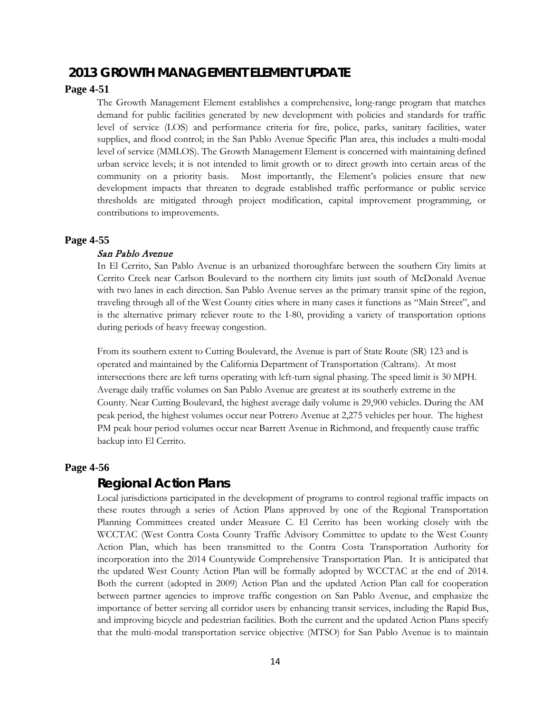## **2013** *GROWTH MANAGEMENT ELEMENT UPDATE*

### **Page 4-51**

The Growth Management Element establishes a comprehensive, long-range program that matches demand for public facilities generated by new development with policies and standards for traffic level of service (LOS) and performance criteria for fire, police, parks, sanitary facilities, water supplies, and flood control; in the San Pablo Avenue Specific Plan area, this includes a multi-modal level of service (MMLOS). The Growth Management Element is concerned with maintaining defined urban service levels; it is not intended to limit growth or to direct growth into certain areas of the community on a priority basis. Most importantly, the Element's policies ensure that new development impacts that threaten to degrade established traffic performance or public service thresholds are mitigated through project modification, capital improvement programming, or contributions to improvements.

#### **Page 4-55**

#### San Pablo Avenue

In El Cerrito, San Pablo Avenue is an urbanized thoroughfare between the southern City limits at Cerrito Creek near Carlson Boulevard to the northern city limits just south of McDonald Avenue with two lanes in each direction. San Pablo Avenue serves as the primary transit spine of the region, traveling through all of the West County cities where in many cases it functions as "Main Street", and is the alternative primary reliever route to the I-80, providing a variety of transportation options during periods of heavy freeway congestion.

From its southern extent to Cutting Boulevard, the Avenue is part of State Route (SR) 123 and is operated and maintained by the California Department of Transportation (Caltrans). At most intersections there are left turns operating with left-turn signal phasing. The speed limit is 30 MPH. Average daily traffic volumes on San Pablo Avenue are greatest at its southerly extreme in the County. Near Cutting Boulevard, the highest average daily volume is 29,900 vehicles. During the AM peak period, the highest volumes occur near Potrero Avenue at 2,275 vehicles per hour. The highest PM peak hour period volumes occur near Barrett Avenue in Richmond, and frequently cause traffic backup into El Cerrito.

#### **Page 4-56**

## *Regional Action Plans*

Local jurisdictions participated in the development of programs to control regional traffic impacts on these routes through a series of Action Plans approved by one of the Regional Transportation Planning Committees created under Measure C. El Cerrito has been working closely with the WCCTAC (West Contra Costa County Traffic Advisory Committee to update to the West County Action Plan, which has been transmitted to the Contra Costa Transportation Authority for incorporation into the 2014 Countywide Comprehensive Transportation Plan. It is anticipated that the updated West County Action Plan will be formally adopted by WCCTAC at the end of 2014. Both the current (adopted in 2009) Action Plan and the updated Action Plan call for cooperation between partner agencies to improve traffic congestion on San Pablo Avenue, and emphasize the importance of better serving all corridor users by enhancing transit services, including the Rapid Bus, and improving bicycle and pedestrian facilities. Both the current and the updated Action Plans specify that the multi-modal transportation service objective (MTSO) for San Pablo Avenue is to maintain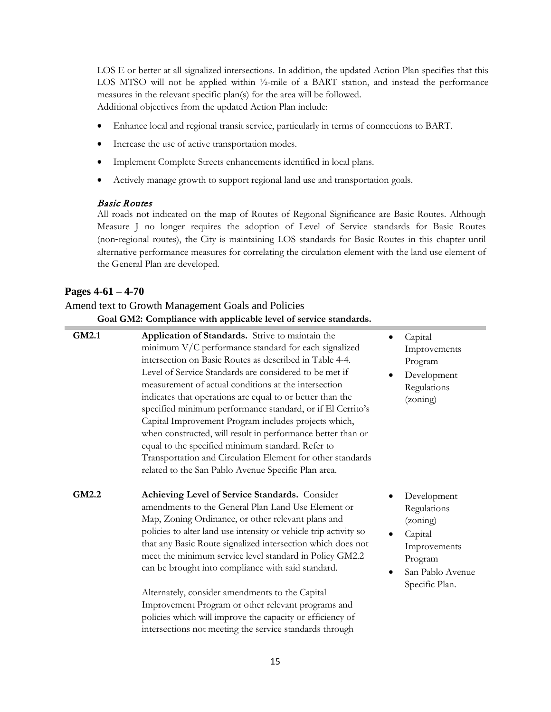LOS E or better at all signalized intersections. In addition, the updated Action Plan specifies that this LOS MTSO will not be applied within <sup>1</sup>/<sub>2</sub>-mile of a BART station, and instead the performance measures in the relevant specific plan(s) for the area will be followed. Additional objectives from the updated Action Plan include:

- Enhance local and regional transit service, particularly in terms of connections to BART.
- Increase the use of active transportation modes.
- Implement Complete Streets enhancements identified in local plans.
- Actively manage growth to support regional land use and transportation goals.

### Basic Routes

All roads not indicated on the map of Routes of Regional Significance are Basic Routes. Although Measure J no longer requires the adoption of Level of Service standards for Basic Routes (non‐regional routes), the City is maintaining LOS standards for Basic Routes in this chapter until alternative performance measures for correlating the circulation element with the land use element of the General Plan are developed.

### **Pages 4-61 – 4-70**

## Amend text to Growth Management Goals and Policies **Goal GM2: Compliance with applicable level of service standards.**

| GM2.1 | Application of Standards. Strive to maintain the<br>minimum V/C performance standard for each signalized<br>intersection on Basic Routes as described in Table 4-4.<br>Level of Service Standards are considered to be met if<br>measurement of actual conditions at the intersection<br>indicates that operations are equal to or better than the<br>specified minimum performance standard, or if El Cerrito's<br>Capital Improvement Program includes projects which,<br>when constructed, will result in performance better than or<br>equal to the specified minimum standard. Refer to<br>Transportation and Circulation Element for other standards<br>related to the San Pablo Avenue Specific Plan area. |           | Capital<br>Improvements<br>Program<br>Development<br>Regulations<br>(zoning)                                       |
|-------|-------------------------------------------------------------------------------------------------------------------------------------------------------------------------------------------------------------------------------------------------------------------------------------------------------------------------------------------------------------------------------------------------------------------------------------------------------------------------------------------------------------------------------------------------------------------------------------------------------------------------------------------------------------------------------------------------------------------|-----------|--------------------------------------------------------------------------------------------------------------------|
| GM2.2 | Achieving Level of Service Standards. Consider<br>amendments to the General Plan Land Use Element or<br>Map, Zoning Ordinance, or other relevant plans and<br>policies to alter land use intensity or vehicle trip activity so<br>that any Basic Route signalized intersection which does not<br>meet the minimum service level standard in Policy GM2.2<br>can be brought into compliance with said standard.<br>Alternately, consider amendments to the Capital<br>Improvement Program or other relevant programs and<br>policies which will improve the capacity or efficiency of<br>intersections not meeting the service standards through                                                                   | $\bullet$ | Development<br>Regulations<br>(zoning)<br>Capital<br>Improvements<br>Program<br>San Pablo Avenue<br>Specific Plan. |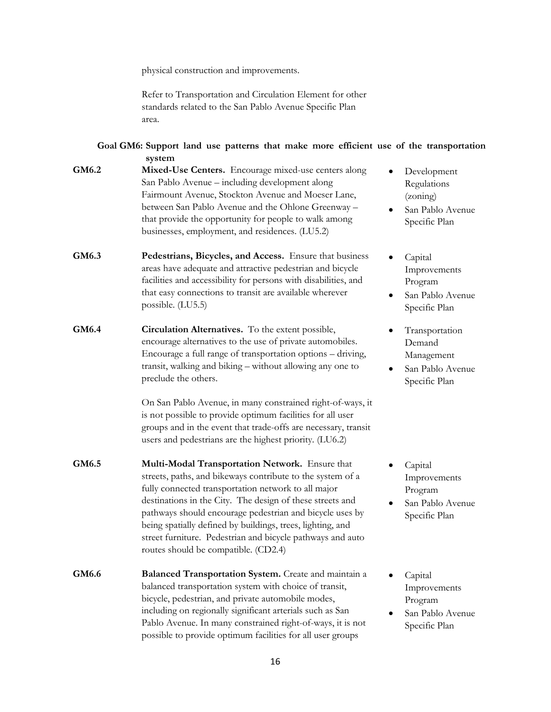physical construction and improvements.

Refer to Transportation and Circulation Element for other standards related to the San Pablo Avenue Specific Plan area.

|       | Goal GM6: Support land use patterns that make more efficient use of the transportation<br>system                                                                                                                                                                                                                                                                                                                                                                                                                            |                                                                                          |
|-------|-----------------------------------------------------------------------------------------------------------------------------------------------------------------------------------------------------------------------------------------------------------------------------------------------------------------------------------------------------------------------------------------------------------------------------------------------------------------------------------------------------------------------------|------------------------------------------------------------------------------------------|
| GM6.2 | Mixed-Use Centers. Encourage mixed-use centers along<br>San Pablo Avenue - including development along<br>Fairmount Avenue, Stockton Avenue and Moeser Lane,<br>between San Pablo Avenue and the Ohlone Greenway -<br>that provide the opportunity for people to walk among<br>businesses, employment, and residences. (LU5.2)                                                                                                                                                                                              | Development<br>Regulations<br>(zoning)<br>San Pablo Avenue<br>Specific Plan              |
| GM6.3 | Pedestrians, Bicycles, and Access. Ensure that business<br>areas have adequate and attractive pedestrian and bicycle<br>facilities and accessibility for persons with disabilities, and<br>that easy connections to transit are available wherever<br>possible. (LU5.5)                                                                                                                                                                                                                                                     | Capital<br>Improvements<br>Program<br>San Pablo Avenue<br>Specific Plan                  |
| GM6.4 | Circulation Alternatives. To the extent possible,<br>encourage alternatives to the use of private automobiles.<br>Encourage a full range of transportation options - driving,<br>transit, walking and biking - without allowing any one to<br>preclude the others.<br>On San Pablo Avenue, in many constrained right-of-ways, it<br>is not possible to provide optimum facilities for all user<br>groups and in the event that trade-offs are necessary, transit<br>users and pedestrians are the highest priority. (LU6.2) | Transportation<br>Demand<br>Management<br>San Pablo Avenue<br>$\bullet$<br>Specific Plan |
| GM6.5 | Multi-Modal Transportation Network. Ensure that<br>streets, paths, and bikeways contribute to the system of a<br>fully connected transportation network to all major<br>destinations in the City. The design of these streets and<br>pathways should encourage pedestrian and bicycle uses by<br>being spatially defined by buildings, trees, lighting, and<br>street furniture. Pedestrian and bicycle pathways and auto<br>routes should be compatible. (CD2.4)                                                           | Capital<br>Improvements<br>Program<br>San Pablo Avenue<br>Specific Plan                  |
| GM6.6 | <b>Balanced Transportation System.</b> Create and maintain a<br>balanced transportation system with choice of transit,<br>bicycle, pedestrian, and private automobile modes,<br>including on regionally significant arterials such as San<br>Pablo Avenue. In many constrained right-of-ways, it is not<br>possible to provide optimum facilities for all user groups                                                                                                                                                       | Capital<br>Improvements<br>Program<br>San Pablo Avenue<br>Specific Plan                  |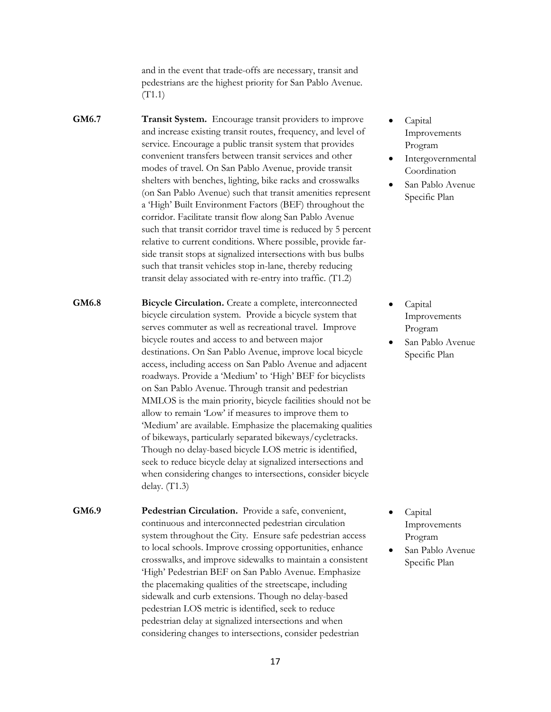and in the event that trade-offs are necessary, transit and pedestrians are the highest priority for San Pablo Avenue. (T1.1)

**GM6.7 Transit System.** Encourage transit providers to improve and increase existing transit routes, frequency, and level of service. Encourage a public transit system that provides convenient transfers between transit services and other modes of travel. On San Pablo Avenue, provide transit shelters with benches, lighting, bike racks and crosswalks (on San Pablo Avenue) such that transit amenities represent a 'High' Built Environment Factors (BEF) throughout the corridor. Facilitate transit flow along San Pablo Avenue such that transit corridor travel time is reduced by 5 percent relative to current conditions. Where possible, provide farside transit stops at signalized intersections with bus bulbs such that transit vehicles stop in-lane, thereby reducing transit delay associated with re-entry into traffic. (T1.2)

**GM6.8 Bicycle Circulation.** Create a complete, interconnected bicycle circulation system. Provide a bicycle system that serves commuter as well as recreational travel. Improve bicycle routes and access to and between major destinations. On San Pablo Avenue, improve local bicycle access, including access on San Pablo Avenue and adjacent roadways. Provide a 'Medium' to 'High' BEF for bicyclists on San Pablo Avenue. Through transit and pedestrian MMLOS is the main priority, bicycle facilities should not be allow to remain 'Low' if measures to improve them to 'Medium' are available. Emphasize the placemaking qualities of bikeways, particularly separated bikeways/cycletracks. Though no delay-based bicycle LOS metric is identified, seek to reduce bicycle delay at signalized intersections and when considering changes to intersections, consider bicycle delay. (T1.3)

**GM6.9 Pedestrian Circulation.** Provide a safe, convenient, continuous and interconnected pedestrian circulation system throughout the City. Ensure safe pedestrian access to local schools. Improve crossing opportunities, enhance crosswalks, and improve sidewalks to maintain a consistent 'High' Pedestrian BEF on San Pablo Avenue. Emphasize the placemaking qualities of the streetscape, including sidewalk and curb extensions. Though no delay-based pedestrian LOS metric is identified, seek to reduce pedestrian delay at signalized intersections and when considering changes to intersections, consider pedestrian

- Capital Improvements Program
- Intergovernmental Coordination
- San Pablo Avenue Specific Plan

- Capital Improvements Program
- San Pablo Avenue Specific Plan

- Capital Improvements Program
- San Pablo Avenue Specific Plan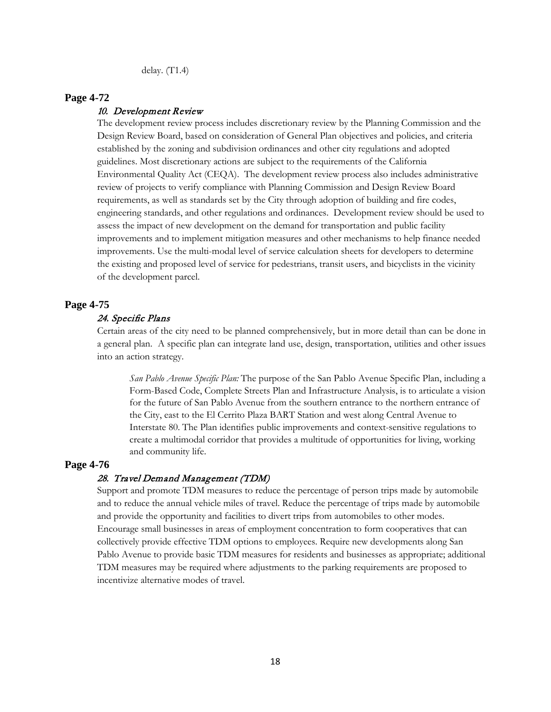delay. (T1.4)

#### **Page 4-72**

#### 10. Development Review

The development review process includes discretionary review by the Planning Commission and the Design Review Board, based on consideration of General Plan objectives and policies, and criteria established by the zoning and subdivision ordinances and other city regulations and adopted guidelines. Most discretionary actions are subject to the requirements of the California Environmental Quality Act (CEQA). The development review process also includes administrative review of projects to verify compliance with Planning Commission and Design Review Board requirements, as well as standards set by the City through adoption of building and fire codes, engineering standards, and other regulations and ordinances. Development review should be used to assess the impact of new development on the demand for transportation and public facility improvements and to implement mitigation measures and other mechanisms to help finance needed improvements. Use the multi-modal level of service calculation sheets for developers to determine the existing and proposed level of service for pedestrians, transit users, and bicyclists in the vicinity of the development parcel.

## **Page 4-75**

#### 24. Specific Plans

Certain areas of the city need to be planned comprehensively, but in more detail than can be done in a general plan. A specific plan can integrate land use, design, transportation, utilities and other issues into an action strategy.

*San Pablo Avenue Specific Plan:* The purpose of the San Pablo Avenue Specific Plan, including a Form-Based Code, Complete Streets Plan and Infrastructure Analysis, is to articulate a vision for the future of San Pablo Avenue from the southern entrance to the northern entrance of the City, east to the El Cerrito Plaza BART Station and west along Central Avenue to Interstate 80. The Plan identifies public improvements and context-sensitive regulations to create a multimodal corridor that provides a multitude of opportunities for living, working and community life.

### **Page 4-76**

#### 28. Travel Demand Management (TDM)

Support and promote TDM measures to reduce the percentage of person trips made by automobile and to reduce the annual vehicle miles of travel. Reduce the percentage of trips made by automobile and provide the opportunity and facilities to divert trips from automobiles to other modes. Encourage small businesses in areas of employment concentration to form cooperatives that can collectively provide effective TDM options to employees. Require new developments along San Pablo Avenue to provide basic TDM measures for residents and businesses as appropriate; additional TDM measures may be required where adjustments to the parking requirements are proposed to incentivize alternative modes of travel.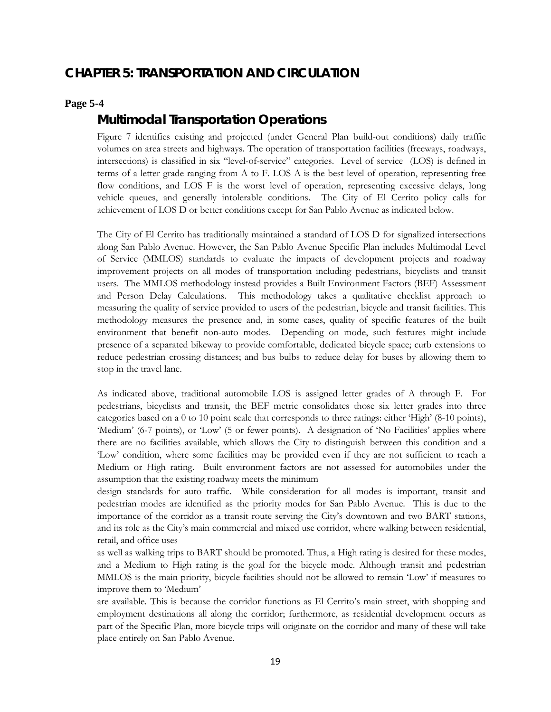# **CHAPTER 5: TRANSPORTATION AND CIRCULATION**

### **Page 5-4**

## *Multimodal Transportation Operations*

Figure 7 identifies existing and projected (under General Plan build-out conditions) daily traffic volumes on area streets and highways. The operation of transportation facilities (freeways, roadways, intersections) is classified in six "level-of-service" categories. Level of service (LOS) is defined in terms of a letter grade ranging from A to F. LOS A is the best level of operation, representing free flow conditions, and LOS F is the worst level of operation, representing excessive delays, long vehicle queues, and generally intolerable conditions. The City of El Cerrito policy calls for achievement of LOS D or better conditions except for San Pablo Avenue as indicated below.

The City of El Cerrito has traditionally maintained a standard of LOS D for signalized intersections along San Pablo Avenue. However, the San Pablo Avenue Specific Plan includes Multimodal Level of Service (MMLOS) standards to evaluate the impacts of development projects and roadway improvement projects on all modes of transportation including pedestrians, bicyclists and transit users. The MMLOS methodology instead provides a Built Environment Factors (BEF) Assessment and Person Delay Calculations. This methodology takes a qualitative checklist approach to measuring the quality of service provided to users of the pedestrian, bicycle and transit facilities. This methodology measures the presence and, in some cases, quality of specific features of the built environment that benefit non-auto modes. Depending on mode, such features might include presence of a separated bikeway to provide comfortable, dedicated bicycle space; curb extensions to reduce pedestrian crossing distances; and bus bulbs to reduce delay for buses by allowing them to stop in the travel lane.

As indicated above, traditional automobile LOS is assigned letter grades of A through F. For pedestrians, bicyclists and transit, the BEF metric consolidates those six letter grades into three categories based on a 0 to 10 point scale that corresponds to three ratings: either 'High' (8-10 points), 'Medium' (6-7 points), or 'Low' (5 or fewer points). A designation of 'No Facilities' applies where there are no facilities available, which allows the City to distinguish between this condition and a 'Low' condition, where some facilities may be provided even if they are not sufficient to reach a Medium or High rating. Built environment factors are not assessed for automobiles under the assumption that the existing roadway meets the minimum

design standards for auto traffic. While consideration for all modes is important, transit and pedestrian modes are identified as the priority modes for San Pablo Avenue. This is due to the importance of the corridor as a transit route serving the City's downtown and two BART stations, and its role as the City's main commercial and mixed use corridor, where walking between residential, retail, and office uses

as well as walking trips to BART should be promoted. Thus, a High rating is desired for these modes, and a Medium to High rating is the goal for the bicycle mode. Although transit and pedestrian MMLOS is the main priority, bicycle facilities should not be allowed to remain 'Low' if measures to improve them to 'Medium'

are available. This is because the corridor functions as El Cerrito's main street, with shopping and employment destinations all along the corridor; furthermore, as residential development occurs as part of the Specific Plan, more bicycle trips will originate on the corridor and many of these will take place entirely on San Pablo Avenue.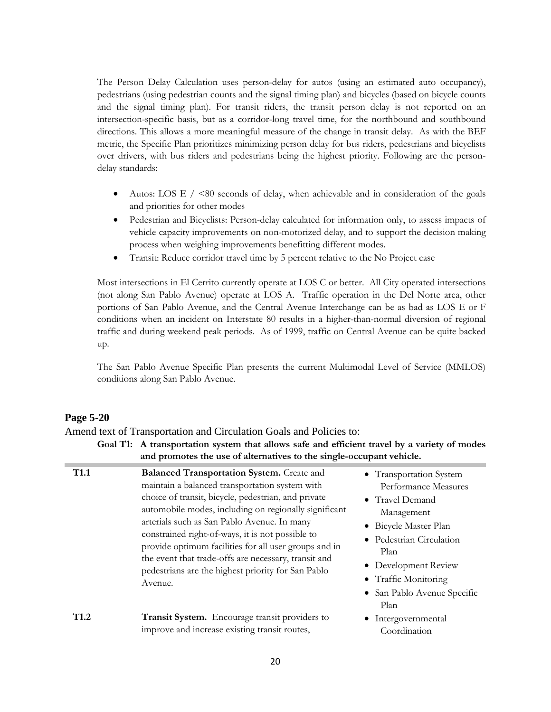The Person Delay Calculation uses person-delay for autos (using an estimated auto occupancy), pedestrians (using pedestrian counts and the signal timing plan) and bicycles (based on bicycle counts and the signal timing plan). For transit riders, the transit person delay is not reported on an intersection-specific basis, but as a corridor-long travel time, for the northbound and southbound directions. This allows a more meaningful measure of the change in transit delay. As with the BEF metric, the Specific Plan prioritizes minimizing person delay for bus riders, pedestrians and bicyclists over drivers, with bus riders and pedestrians being the highest priority. Following are the persondelay standards:

- Autos: LOS E  $/$  <80 seconds of delay, when achievable and in consideration of the goals and priorities for other modes
- Pedestrian and Bicyclists: Person-delay calculated for information only, to assess impacts of vehicle capacity improvements on non-motorized delay, and to support the decision making process when weighing improvements benefitting different modes.
- Transit: Reduce corridor travel time by 5 percent relative to the No Project case

Most intersections in El Cerrito currently operate at LOS C or better. All City operated intersections (not along San Pablo Avenue) operate at LOS A. Traffic operation in the Del Norte area, other portions of San Pablo Avenue, and the Central Avenue Interchange can be as bad as LOS E or F conditions when an incident on Interstate 80 results in a higher-than-normal diversion of regional traffic and during weekend peak periods. As of 1999, traffic on Central Avenue can be quite backed up.

The San Pablo Avenue Specific Plan presents the current Multimodal Level of Service (MMLOS) conditions along San Pablo Avenue.

### **Page 5-20**

Amend text of Transportation and Circulation Goals and Policies to:

|                  | Goal T1: A transportation system that allows safe and efficient travel by a variety of modes<br>and promotes the use of alternatives to the single-occupant vehicle.                                                                                                                                                                                                                                                                                                                                     |                                                                                                                                                                                                                                    |
|------------------|----------------------------------------------------------------------------------------------------------------------------------------------------------------------------------------------------------------------------------------------------------------------------------------------------------------------------------------------------------------------------------------------------------------------------------------------------------------------------------------------------------|------------------------------------------------------------------------------------------------------------------------------------------------------------------------------------------------------------------------------------|
| T <sub>1.1</sub> | <b>Balanced Transportation System.</b> Create and<br>maintain a balanced transportation system with<br>choice of transit, bicycle, pedestrian, and private<br>automobile modes, including on regionally significant<br>arterials such as San Pablo Avenue. In many<br>constrained right-of-ways, it is not possible to<br>provide optimum facilities for all user groups and in<br>the event that trade-offs are necessary, transit and<br>pedestrians are the highest priority for San Pablo<br>Avenue. | • Transportation System<br>Performance Measures<br>• Travel Demand<br>Management<br>• Bicycle Master Plan<br>• Pedestrian Circulation<br>Plan<br>Development Review<br>• Traffic Monitoring<br>• San Pablo Avenue Specific<br>Plan |
| T <sub>1.2</sub> | Transit System. Encourage transit providers to<br>improve and increase existing transit routes,                                                                                                                                                                                                                                                                                                                                                                                                          | Intergovernmental<br>Coordination                                                                                                                                                                                                  |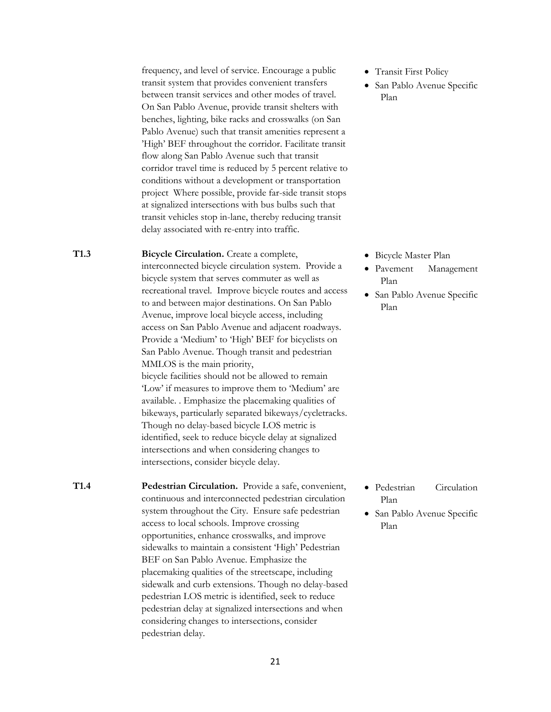frequency, and level of service. Encourage a public transit system that provides convenient transfers between transit services and other modes of travel. On San Pablo Avenue, provide transit shelters with benches, lighting, bike racks and crosswalks (on San Pablo Avenue) such that transit amenities represent a 'High' BEF throughout the corridor. Facilitate transit flow along San Pablo Avenue such that transit corridor travel time is reduced by 5 percent relative to conditions without a development or transportation project Where possible, provide far-side transit stops at signalized intersections with bus bulbs such that transit vehicles stop in-lane, thereby reducing transit delay associated with re-entry into traffic.

**T1.3 Bicycle Circulation.** Create a complete, interconnected bicycle circulation system. Provide a bicycle system that serves commuter as well as recreational travel. Improve bicycle routes and access to and between major destinations. On San Pablo Avenue, improve local bicycle access, including access on San Pablo Avenue and adjacent roadways. Provide a 'Medium' to 'High' BEF for bicyclists on San Pablo Avenue. Though transit and pedestrian MMLOS is the main priority, bicycle facilities should not be allowed to remain 'Low' if measures to improve them to 'Medium' are available. . Emphasize the placemaking qualities of bikeways, particularly separated bikeways/cycletracks. Though no delay-based bicycle LOS metric is identified, seek to reduce bicycle delay at signalized intersections and when considering changes to intersections, consider bicycle delay.

**T1.4 Pedestrian Circulation.** Provide a safe, convenient, continuous and interconnected pedestrian circulation system throughout the City. Ensure safe pedestrian access to local schools. Improve crossing opportunities, enhance crosswalks, and improve sidewalks to maintain a consistent 'High' Pedestrian BEF on San Pablo Avenue. Emphasize the placemaking qualities of the streetscape, including sidewalk and curb extensions. Though no delay-based pedestrian LOS metric is identified, seek to reduce pedestrian delay at signalized intersections and when considering changes to intersections, consider pedestrian delay.

- Transit First Policy
- San Pablo Avenue Specific Plan

- Bicycle Master Plan
- Pavement Management Plan
- San Pablo Avenue Specific Plan

- Pedestrian Circulation Plan
- San Pablo Avenue Specific Plan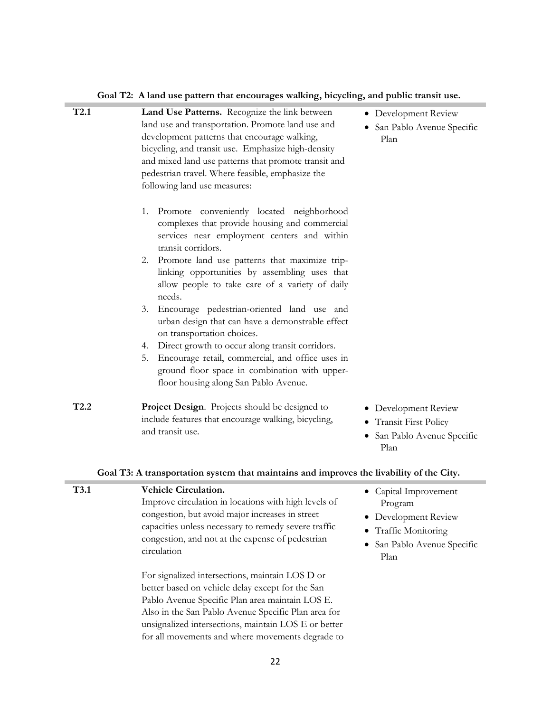**T2.1 Land Use Patterns.** Recognize the link between land use and transportation. Promote land use and development patterns that encourage walking, bicycling, and transit use. Emphasize high-density and mixed land use patterns that promote transit and pedestrian travel. Where feasible, emphasize the following land use measures: 1. Promote conveniently located neighborhood complexes that provide housing and commercial services near employment centers and within transit corridors. 2. Promote land use patterns that maximize triplinking opportunities by assembling uses that allow people to take care of a variety of daily needs. 3. Encourage pedestrian-oriented land use and urban design that can have a demonstrable effect on transportation choices. 4. Direct growth to occur along transit corridors. 5. Encourage retail, commercial, and office uses in ground floor space in combination with upperfloor housing along San Pablo Avenue. Development Review • San Pablo Avenue Specific Plan **T2.2 Project Design**. Projects should be designed to include features that encourage walking, bicycling, and transit use. • Development Review • Transit First Policy • San Pablo Avenue Specific Plan **Goal T3: A transportation system that maintains and improves the livability of the City. T3.1 Vehicle Circulation.** Improve circulation in locations with high levels of • Capital Improvement Program

| Goal T2: A land use pattern that encourages walking, bicycling, and public transit use. |  |  |  |
|-----------------------------------------------------------------------------------------|--|--|--|
|                                                                                         |  |  |  |

- Development Review
- Traffic Monitoring
- San Pablo Avenue Specific Plan

For signalized intersections, maintain LOS D or better based on vehicle delay except for the San Pablo Avenue Specific Plan area maintain LOS E. Also in the San Pablo Avenue Specific Plan area for unsignalized intersections, maintain LOS E or better for all movements and where movements degrade to

congestion, but avoid major increases in street capacities unless necessary to remedy severe traffic congestion, and not at the expense of pedestrian

circulation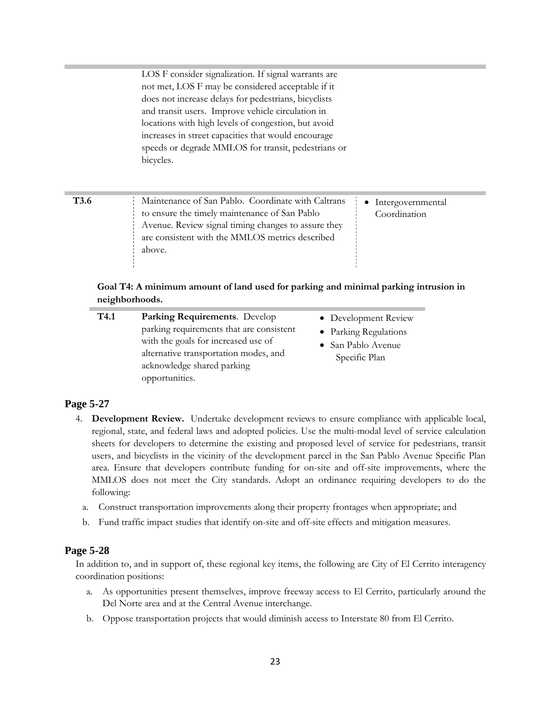|             | LOS F consider signalization. If signal warrants are<br>not met, LOS F may be considered acceptable if it<br>does not increase delays for pedestrians, bicyclists<br>and transit users. Improve vehicle circulation in<br>locations with high levels of congestion, but avoid<br>increases in street capacities that would encourage<br>speeds or degrade MMLOS for transit, pedestrians or<br>bicycles. |                                   |
|-------------|----------------------------------------------------------------------------------------------------------------------------------------------------------------------------------------------------------------------------------------------------------------------------------------------------------------------------------------------------------------------------------------------------------|-----------------------------------|
| <b>T3.6</b> | Maintenance of San Pablo. Coordinate with Caltrans<br>to ensure the timely maintenance of San Pablo<br>Avenue. Review signal timing changes to assure they<br>are consistent with the MMLOS metrics described<br>above.<br>Goal T4: A minimum amount of land used for parking and minimal parking intrusion in<br>neighborhoods.                                                                         | Intergovernmental<br>Coordination |

| T <sub>4.1</sub> | Parking Requirements. Develop<br>parking requirements that are consistent<br>with the goals for increased use of<br>alternative transportation modes, and<br>acknowledge shared parking<br>opportunities. | • Development Review<br>• Parking Regulations<br>• San Pablo Avenue<br>Specific Plan |
|------------------|-----------------------------------------------------------------------------------------------------------------------------------------------------------------------------------------------------------|--------------------------------------------------------------------------------------|
|                  |                                                                                                                                                                                                           |                                                                                      |

### **Page 5-27**

- 4. **Development Review.** Undertake development reviews to ensure compliance with applicable local, regional, state, and federal laws and adopted policies. Use the multi-modal level of service calculation sheets for developers to determine the existing and proposed level of service for pedestrians, transit users, and bicyclists in the vicinity of the development parcel in the San Pablo Avenue Specific Plan area. Ensure that developers contribute funding for on-site and off-site improvements, where the MMLOS does not meet the City standards. Adopt an ordinance requiring developers to do the following:
	- a. Construct transportation improvements along their property frontages when appropriate; and
	- b. Fund traffic impact studies that identify on-site and off-site effects and mitigation measures.

#### **Page 5-28**

In addition to, and in support of, these regional key items, the following are City of El Cerrito interagency coordination positions:

- a. As opportunities present themselves, improve freeway access to El Cerrito, particularly around the Del Norte area and at the Central Avenue interchange.
- b. Oppose transportation projects that would diminish access to Interstate 80 from El Cerrito.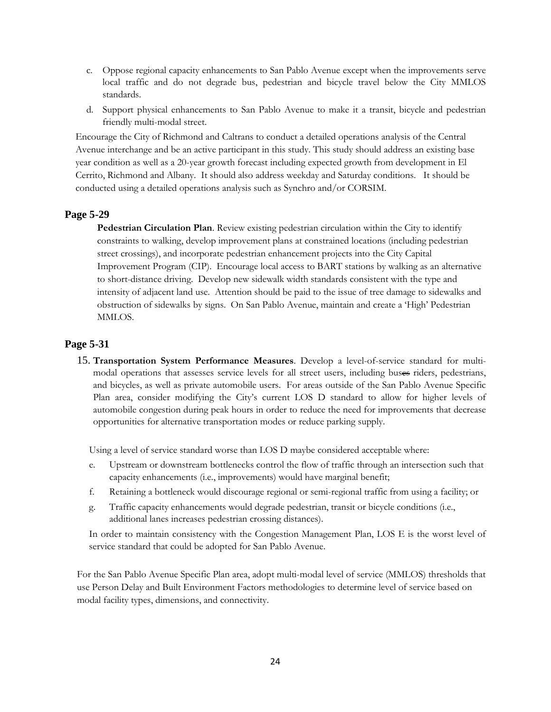- c. Oppose regional capacity enhancements to San Pablo Avenue except when the improvements serve local traffic and do not degrade bus, pedestrian and bicycle travel below the City MMLOS standards.
- d. Support physical enhancements to San Pablo Avenue to make it a transit, bicycle and pedestrian friendly multi-modal street.

Encourage the City of Richmond and Caltrans to conduct a detailed operations analysis of the Central Avenue interchange and be an active participant in this study. This study should address an existing base year condition as well as a 20-year growth forecast including expected growth from development in El Cerrito, Richmond and Albany. It should also address weekday and Saturday conditions. It should be conducted using a detailed operations analysis such as Synchro and/or CORSIM.

## **Page 5-29**

**Pedestrian Circulation Plan**. Review existing pedestrian circulation within the City to identify constraints to walking, develop improvement plans at constrained locations (including pedestrian street crossings), and incorporate pedestrian enhancement projects into the City Capital Improvement Program (CIP). Encourage local access to BART stations by walking as an alternative to short-distance driving. Develop new sidewalk width standards consistent with the type and intensity of adjacent land use. Attention should be paid to the issue of tree damage to sidewalks and obstruction of sidewalks by signs. On San Pablo Avenue, maintain and create a 'High' Pedestrian MMLOS.

## **Page 5-31**

15. **Transportation System Performance Measures**. Develop a level-of-service standard for multimodal operations that assesses service levels for all street users, including buses riders, pedestrians, and bicycles, as well as private automobile users. For areas outside of the San Pablo Avenue Specific Plan area, consider modifying the City's current LOS D standard to allow for higher levels of automobile congestion during peak hours in order to reduce the need for improvements that decrease opportunities for alternative transportation modes or reduce parking supply.

Using a level of service standard worse than LOS D maybe considered acceptable where:

- e. Upstream or downstream bottlenecks control the flow of traffic through an intersection such that capacity enhancements (i.e., improvements) would have marginal benefit;
- f. Retaining a bottleneck would discourage regional or semi-regional traffic from using a facility; or
- g. Traffic capacity enhancements would degrade pedestrian, transit or bicycle conditions (i.e., additional lanes increases pedestrian crossing distances).

In order to maintain consistency with the Congestion Management Plan, LOS E is the worst level of service standard that could be adopted for San Pablo Avenue.

For the San Pablo Avenue Specific Plan area, adopt multi-modal level of service (MMLOS) thresholds that use Person Delay and Built Environment Factors methodologies to determine level of service based on modal facility types, dimensions, and connectivity.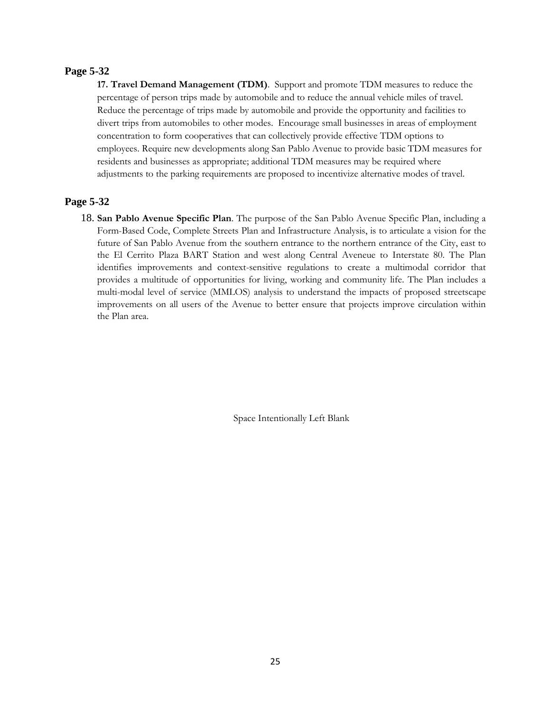### **Page 5-32**

**17. Travel Demand Management (TDM)**. Support and promote TDM measures to reduce the percentage of person trips made by automobile and to reduce the annual vehicle miles of travel. Reduce the percentage of trips made by automobile and provide the opportunity and facilities to divert trips from automobiles to other modes. Encourage small businesses in areas of employment concentration to form cooperatives that can collectively provide effective TDM options to employees. Require new developments along San Pablo Avenue to provide basic TDM measures for residents and businesses as appropriate; additional TDM measures may be required where adjustments to the parking requirements are proposed to incentivize alternative modes of travel.

## **Page 5-32**

18. **San Pablo Avenue Specific Plan**. The purpose of the San Pablo Avenue Specific Plan, including a Form-Based Code, Complete Streets Plan and Infrastructure Analysis, is to articulate a vision for the future of San Pablo Avenue from the southern entrance to the northern entrance of the City, east to the El Cerrito Plaza BART Station and west along Central Aveneue to Interstate 80. The Plan identifies improvements and context-sensitive regulations to create a multimodal corridor that provides a multitude of opportunities for living, working and community life. The Plan includes a multi-modal level of service (MMLOS) analysis to understand the impacts of proposed streetscape improvements on all users of the Avenue to better ensure that projects improve circulation within the Plan area.

Space Intentionally Left Blank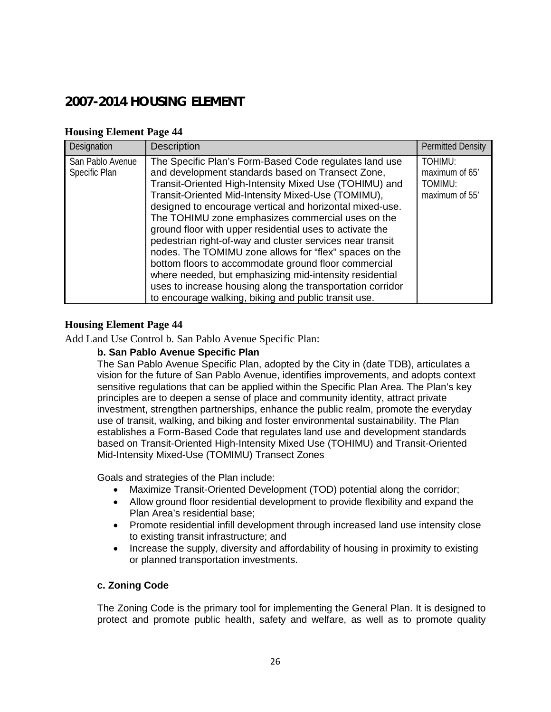# **2007-2014 HOUSING ELEMENT**

## **Housing Element Page 44**

| Designation                       | Description                                                                                                                                                                                                                                                                                                                                                                                                                                                                                                                                                                                                                                                                                                                                                              | <b>Permitted Density</b>                               |
|-----------------------------------|--------------------------------------------------------------------------------------------------------------------------------------------------------------------------------------------------------------------------------------------------------------------------------------------------------------------------------------------------------------------------------------------------------------------------------------------------------------------------------------------------------------------------------------------------------------------------------------------------------------------------------------------------------------------------------------------------------------------------------------------------------------------------|--------------------------------------------------------|
| San Pablo Avenue<br>Specific Plan | The Specific Plan's Form-Based Code regulates land use<br>and development standards based on Transect Zone,<br>Transit-Oriented High-Intensity Mixed Use (TOHIMU) and<br>Transit-Oriented Mid-Intensity Mixed-Use (TOMIMU),<br>designed to encourage vertical and horizontal mixed-use.<br>The TOHIMU zone emphasizes commercial uses on the<br>ground floor with upper residential uses to activate the<br>pedestrian right-of-way and cluster services near transit<br>nodes. The TOMIMU zone allows for "flex" spaces on the<br>bottom floors to accommodate ground floor commercial<br>where needed, but emphasizing mid-intensity residential<br>uses to increase housing along the transportation corridor<br>to encourage walking, biking and public transit use. | TOHIMU:<br>maximum of 65'<br>TOMIMU:<br>maximum of 55' |

## **Housing Element Page 44**

Add Land Use Control b. San Pablo Avenue Specific Plan:

## **b. San Pablo Avenue Specific Plan**

The San Pablo Avenue Specific Plan, adopted by the City in (date TDB), articulates a vision for the future of San Pablo Avenue, identifies improvements, and adopts context sensitive regulations that can be applied within the Specific Plan Area. The Plan's key principles are to deepen a sense of place and community identity, attract private investment, strengthen partnerships, enhance the public realm, promote the everyday use of transit, walking, and biking and foster environmental sustainability. The Plan establishes a Form-Based Code that regulates land use and development standards based on Transit-Oriented High-Intensity Mixed Use (TOHIMU) and Transit-Oriented Mid-Intensity Mixed-Use (TOMIMU) Transect Zones

Goals and strategies of the Plan include:

- Maximize Transit-Oriented Development (TOD) potential along the corridor;
- Allow ground floor residential development to provide flexibility and expand the Plan Area's residential base;
- Promote residential infill development through increased land use intensity close to existing transit infrastructure; and
- Increase the supply, diversity and affordability of housing in proximity to existing or planned transportation investments.

## **c. Zoning Code**

The Zoning Code is the primary tool for implementing the General Plan. It is designed to protect and promote public health, safety and welfare, as well as to promote quality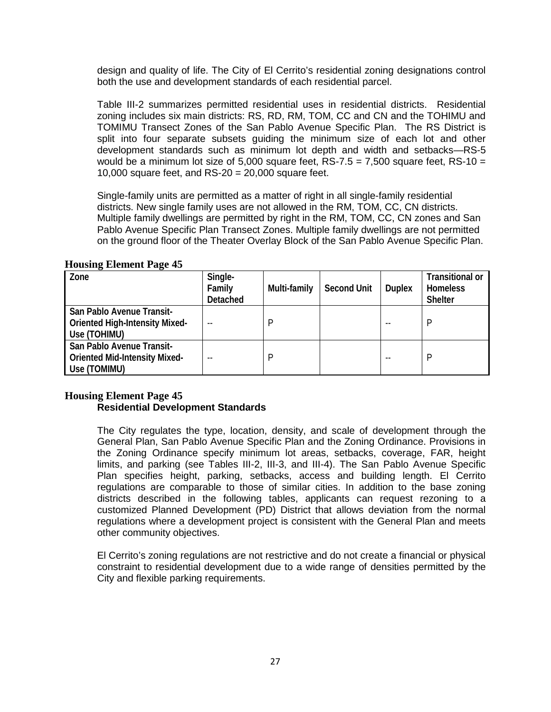design and quality of life. The City of El Cerrito's residential zoning designations control both the use and development standards of each residential parcel.

Table III-2 summarizes permitted residential uses in residential districts. Residential zoning includes six main districts: RS, RD, RM, TOM, CC and CN and the TOHIMU and TOMIMU Transect Zones of the San Pablo Avenue Specific Plan. The RS District is split into four separate subsets guiding the minimum size of each lot and other development standards such as minimum lot depth and width and setbacks—RS-5 would be a minimum lot size of 5,000 square feet,  $RS-7.5 = 7,500$  square feet,  $RS-10 =$ 10,000 square feet, and  $RS-20 = 20,000$  square feet.

Single-family units are permitted as a matter of right in all single-family residential districts. New single family uses are not allowed in the RM, TOM, CC, CN districts. Multiple family dwellings are permitted by right in the RM, TOM, CC, CN zones and San Pablo Avenue Specific Plan Transect Zones. Multiple family dwellings are not permitted on the ground floor of the Theater Overlay Block of the San Pablo Avenue Specific Plan.

| Zone                                                                               | Single-<br>Family<br>Detached | Multi-family | <b>Second Unit</b> | <b>Duplex</b> | <b>Transitional or</b><br><b>Homeless</b><br><b>Shelter</b> |
|------------------------------------------------------------------------------------|-------------------------------|--------------|--------------------|---------------|-------------------------------------------------------------|
| San Pablo Avenue Transit-<br><b>Oriented High-Intensity Mixed-</b><br>Use (TOHIMU) |                               | P            |                    |               | P                                                           |
| San Pablo Avenue Transit-<br><b>Oriented Mid-Intensity Mixed-</b><br>Use (TOMIMU)  |                               | P            |                    |               | P                                                           |

### **Housing Element Page 45**

## **Housing Element Page 45 Residential Development Standards**

The City regulates the type, location, density, and scale of development through the General Plan, San Pablo Avenue Specific Plan and the Zoning Ordinance. Provisions in the Zoning Ordinance specify minimum lot areas, setbacks, coverage, FAR, height limits, and parking (see Tables III-2, III-3, and III-4). The San Pablo Avenue Specific Plan specifies height, parking, setbacks, access and building length. El Cerrito regulations are comparable to those of similar cities. In addition to the base zoning districts described in the following tables, applicants can request rezoning to a customized Planned Development (PD) District that allows deviation from the normal regulations where a development project is consistent with the General Plan and meets other community objectives.

El Cerrito's zoning regulations are not restrictive and do not create a financial or physical constraint to residential development due to a wide range of densities permitted by the City and flexible parking requirements.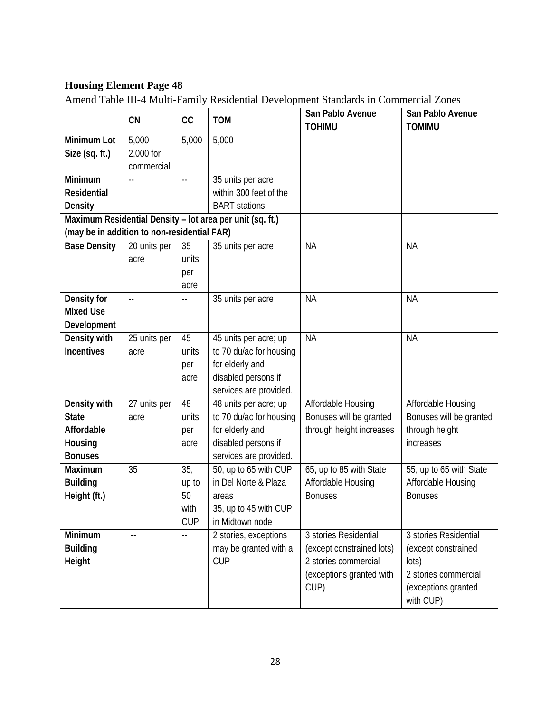# **Housing Element Page 48**

Amend Table III-4 Multi-Family Residential Development Standards in Commercial Zones

|                                             |              |                            |                                                           | San Pablo Avenue          | San Pablo Avenue                 |
|---------------------------------------------|--------------|----------------------------|-----------------------------------------------------------|---------------------------|----------------------------------|
|                                             | <b>CN</b>    | cc                         | <b>TOM</b>                                                | <b>TOHIMU</b>             | <b>TOMIMU</b>                    |
| Minimum Lot                                 | 5,000        | 5,000                      | 5,000                                                     |                           |                                  |
| Size (sq. ft.)                              | 2,000 for    |                            |                                                           |                           |                                  |
|                                             | commercial   |                            |                                                           |                           |                                  |
| Minimum                                     |              | $\overline{\phantom{a}}$ . | 35 units per acre                                         |                           |                                  |
| Residential                                 |              |                            | within 300 feet of the                                    |                           |                                  |
| <b>Density</b>                              |              |                            | <b>BART</b> stations                                      |                           |                                  |
|                                             |              |                            | Maximum Residential Density - lot area per unit (sq. ft.) |                           |                                  |
| (may be in addition to non-residential FAR) |              |                            |                                                           |                           |                                  |
| <b>Base Density</b>                         | 20 units per | 35                         | 35 units per acre                                         | <b>NA</b>                 | <b>NA</b>                        |
|                                             | acre         | units                      |                                                           |                           |                                  |
|                                             |              | per                        |                                                           |                           |                                  |
|                                             |              | acre                       |                                                           |                           |                                  |
| Density for                                 | $-$          | $\overline{\phantom{a}}$ . | 35 units per acre                                         | <b>NA</b>                 | <b>NA</b>                        |
| <b>Mixed Use</b>                            |              |                            |                                                           |                           |                                  |
| Development                                 |              |                            |                                                           |                           |                                  |
| Density with                                | 25 units per | 45                         | 45 units per acre; up                                     | <b>NA</b>                 | <b>NA</b>                        |
| <b>Incentives</b>                           | acre         | units                      | to 70 du/ac for housing                                   |                           |                                  |
|                                             |              | per                        | for elderly and                                           |                           |                                  |
|                                             |              | acre                       | disabled persons if                                       |                           |                                  |
|                                             |              |                            | services are provided.                                    |                           |                                  |
| Density with                                | 27 units per | 48                         | 48 units per acre; up                                     | Affordable Housing        | Affordable Housing               |
| <b>State</b>                                | acre         | units                      | to 70 du/ac for housing                                   | Bonuses will be granted   | Bonuses will be granted          |
| Affordable                                  |              | per                        | for elderly and                                           | through height increases  | through height                   |
| Housing                                     |              | acre                       | disabled persons if                                       |                           | increases                        |
| <b>Bonuses</b>                              |              |                            | services are provided.                                    |                           |                                  |
| Maximum                                     | 35           | 35,                        | 50, up to 65 with CUP                                     | 65, up to 85 with State   | 55, up to 65 with State          |
| <b>Building</b>                             |              | up to                      | in Del Norte & Plaza                                      | Affordable Housing        | Affordable Housing               |
| Height (ft.)                                |              | 50                         | areas                                                     | <b>Bonuses</b>            | <b>Bonuses</b>                   |
|                                             |              | with                       | 35, up to 45 with CUP                                     |                           |                                  |
|                                             |              | <b>CUP</b>                 | in Midtown node                                           |                           |                                  |
| Minimum                                     |              | $\overline{a}$             | 2 stories, exceptions                                     | 3 stories Residential     | 3 stories Residential            |
| <b>Building</b>                             |              |                            | may be granted with a                                     | (except constrained lots) | (except constrained              |
| Height                                      |              |                            | <b>CUP</b>                                                | 2 stories commercial      | lots)                            |
|                                             |              |                            |                                                           | (exceptions granted with  | 2 stories commercial             |
|                                             |              |                            |                                                           | CUP)                      | (exceptions granted<br>with CUP) |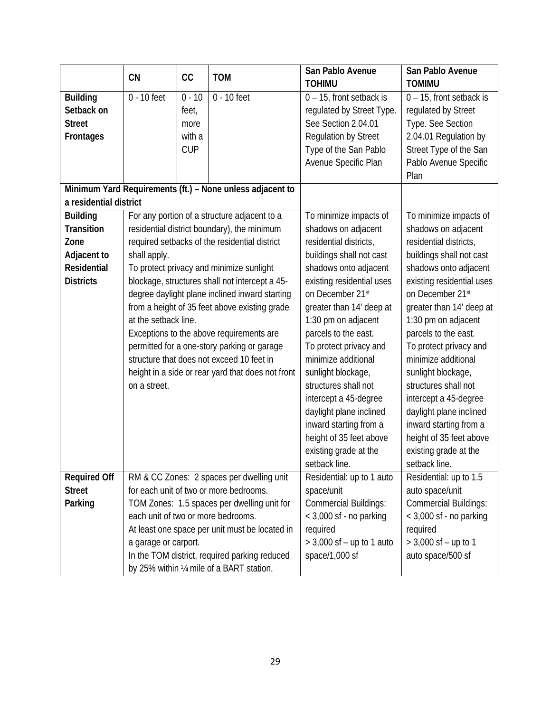|                        | CN                   | cc         | <b>TOM</b>                                                | San Pablo Avenue<br><b>TOHIMU</b> | San Pablo Avenue<br><b>TOMIMU</b> |
|------------------------|----------------------|------------|-----------------------------------------------------------|-----------------------------------|-----------------------------------|
| <b>Building</b>        | 0 - 10 feet          | $0 - 10$   | 0 - 10 feet                                               | 0 - 15, front setback is          | 0 - 15, front setback is          |
| Setback on             |                      | feet,      |                                                           | regulated by Street Type.         | requlated by Street               |
| <b>Street</b>          |                      | more       |                                                           | See Section 2.04.01               | Type. See Section                 |
| <b>Frontages</b>       |                      | with a     |                                                           | <b>Regulation by Street</b>       | 2.04.01 Regulation by             |
|                        |                      | <b>CUP</b> |                                                           | Type of the San Pablo             | Street Type of the San            |
|                        |                      |            |                                                           | Avenue Specific Plan              | Pablo Avenue Specific             |
|                        |                      |            |                                                           |                                   | Plan                              |
|                        |                      |            | Minimum Yard Requirements (ft.) - None unless adjacent to |                                   |                                   |
| a residential district |                      |            |                                                           |                                   |                                   |
| <b>Building</b>        |                      |            | For any portion of a structure adjacent to a              | To minimize impacts of            | To minimize impacts of            |
| Transition             |                      |            | residential district boundary), the minimum               | shadows on adjacent               | shadows on adjacent               |
| Zone                   |                      |            | required setbacks of the residential district             | residential districts,            | residential districts,            |
| Adjacent to            | shall apply.         |            |                                                           | buildings shall not cast          | buildings shall not cast          |
| Residential            |                      |            | To protect privacy and minimize sunlight                  | shadows onto adjacent             | shadows onto adjacent             |
| <b>Districts</b>       |                      |            | blockage, structures shall not intercept a 45-            | existing residential uses         | existing residential uses         |
|                        |                      |            | degree daylight plane inclined inward starting            | on December 21st                  | on December 21st                  |
|                        |                      |            | from a height of 35 feet above existing grade             | greater than 14' deep at          | greater than 14' deep at          |
|                        | at the setback line. |            | 1:30 pm on adjacent                                       | 1:30 pm on adjacent               |                                   |
|                        |                      |            | Exceptions to the above requirements are                  | parcels to the east.              | parcels to the east.              |
|                        |                      |            | permitted for a one-story parking or garage               | To protect privacy and            | To protect privacy and            |
|                        |                      |            | structure that does not exceed 10 feet in                 | minimize additional               | minimize additional               |
|                        |                      |            | height in a side or rear yard that does not front         | sunlight blockage,                | sunlight blockage,                |
|                        | on a street.         |            |                                                           | structures shall not              | structures shall not              |
|                        |                      |            |                                                           | intercept a 45-degree             | intercept a 45-degree             |
|                        |                      |            |                                                           | daylight plane inclined           | daylight plane inclined           |
|                        |                      |            |                                                           | inward starting from a            | inward starting from a            |
|                        |                      |            |                                                           | height of 35 feet above           | height of 35 feet above           |
|                        |                      |            |                                                           | existing grade at the             | existing grade at the             |
|                        |                      |            |                                                           | setback line.                     | setback line.                     |
| <b>Required Off</b>    |                      |            | RM & CC Zones: 2 spaces per dwelling unit                 | Residential: up to 1 auto         | Residential: up to 1.5            |
| <b>Street</b>          |                      |            | for each unit of two or more bedrooms.                    | space/unit                        | auto space/unit                   |
| Parking                |                      |            | TOM Zones: 1.5 spaces per dwelling unit for               | <b>Commercial Buildings:</b>      | <b>Commercial Buildings:</b>      |
|                        |                      |            | each unit of two or more bedrooms.                        | $<$ 3,000 sf - no parking         | $<$ 3,000 sf - no parking         |
|                        |                      |            | At least one space per unit must be located in            | required                          | required                          |
|                        | a garage or carport. |            |                                                           | $>$ 3,000 sf – up to 1 auto       | $> 3,000$ sf - up to 1            |
|                        |                      |            | In the TOM district, required parking reduced             | space/1,000 sf                    | auto space/500 sf                 |
|                        |                      |            | by 25% within 1/4 mile of a BART station.                 |                                   |                                   |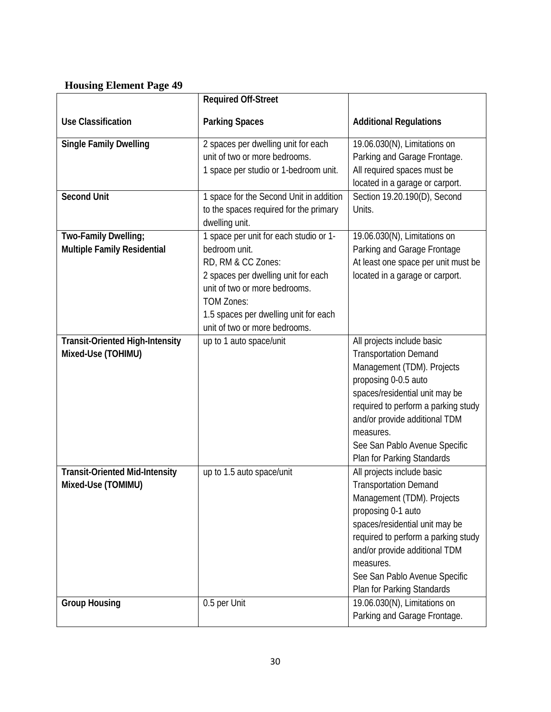# **Housing Element Page 49**

|                                                              | <b>Required Off-Street</b>                                                                                                                                                                                                                           |                                                                                                                                                                                                                                                                                                        |
|--------------------------------------------------------------|------------------------------------------------------------------------------------------------------------------------------------------------------------------------------------------------------------------------------------------------------|--------------------------------------------------------------------------------------------------------------------------------------------------------------------------------------------------------------------------------------------------------------------------------------------------------|
| <b>Use Classification</b>                                    | <b>Parking Spaces</b>                                                                                                                                                                                                                                | <b>Additional Regulations</b>                                                                                                                                                                                                                                                                          |
| <b>Single Family Dwelling</b>                                | 2 spaces per dwelling unit for each<br>unit of two or more bedrooms.<br>1 space per studio or 1-bedroom unit.                                                                                                                                        | 19.06.030(N), Limitations on<br>Parking and Garage Frontage.<br>All required spaces must be<br>located in a garage or carport.                                                                                                                                                                         |
| <b>Second Unit</b>                                           | 1 space for the Second Unit in addition<br>to the spaces required for the primary<br>dwelling unit.                                                                                                                                                  | Section 19.20.190(D), Second<br>Units.                                                                                                                                                                                                                                                                 |
| Two-Family Dwelling;<br>Multiple Family Residential          | 1 space per unit for each studio or 1-<br>bedroom unit.<br>RD, RM & CC Zones:<br>2 spaces per dwelling unit for each<br>unit of two or more bedrooms.<br><b>TOM Zones:</b><br>1.5 spaces per dwelling unit for each<br>unit of two or more bedrooms. | 19.06.030(N), Limitations on<br>Parking and Garage Frontage<br>At least one space per unit must be<br>located in a garage or carport.                                                                                                                                                                  |
| <b>Transit-Oriented High-Intensity</b><br>Mixed-Use (TOHIMU) | up to 1 auto space/unit                                                                                                                                                                                                                              | All projects include basic<br><b>Transportation Demand</b><br>Management (TDM). Projects<br>proposing 0-0.5 auto<br>spaces/residential unit may be<br>required to perform a parking study<br>and/or provide additional TDM<br>measures.<br>See San Pablo Avenue Specific<br>Plan for Parking Standards |
| <b>Transit-Oriented Mid-Intensity</b><br>Mixed-Use (TOMIMU)  | up to 1.5 auto space/unit                                                                                                                                                                                                                            | All projects include basic<br><b>Transportation Demand</b><br>Management (TDM). Projects<br>proposing 0-1 auto<br>spaces/residential unit may be<br>required to perform a parking study<br>and/or provide additional TDM<br>measures.<br>See San Pablo Avenue Specific<br>Plan for Parking Standards   |
| <b>Group Housing</b>                                         | 0.5 per Unit                                                                                                                                                                                                                                         | 19.06.030(N), Limitations on<br>Parking and Garage Frontage.                                                                                                                                                                                                                                           |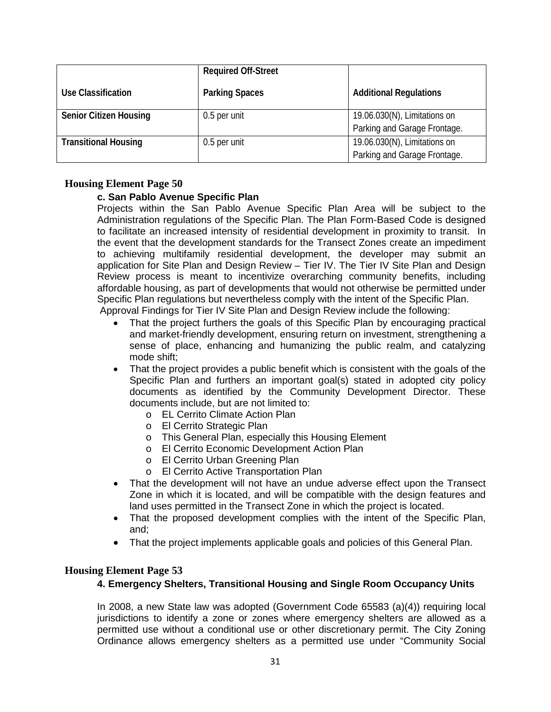|                               | <b>Required Off-Street</b> |                               |
|-------------------------------|----------------------------|-------------------------------|
| Use Classification            | <b>Parking Spaces</b>      | <b>Additional Regulations</b> |
| <b>Senior Citizen Housing</b> | 0.5 per unit               | 19.06.030(N), Limitations on  |
|                               |                            | Parking and Garage Frontage.  |
| <b>Transitional Housing</b>   | 0.5 per unit               | 19.06.030(N), Limitations on  |
|                               |                            | Parking and Garage Frontage.  |

## **Housing Element Page 50**

## **c. San Pablo Avenue Specific Plan**

Projects within the San Pablo Avenue Specific Plan Area will be subject to the Administration regulations of the Specific Plan. The Plan Form-Based Code is designed to facilitate an increased intensity of residential development in proximity to transit. In the event that the development standards for the Transect Zones create an impediment to achieving multifamily residential development, the developer may submit an application for Site Plan and Design Review – Tier IV. The Tier IV Site Plan and Design Review process is meant to incentivize overarching community benefits, including affordable housing, as part of developments that would not otherwise be permitted under Specific Plan regulations but nevertheless comply with the intent of the Specific Plan. Approval Findings for Tier IV Site Plan and Design Review include the following:

- That the project furthers the goals of this Specific Plan by encouraging practical and market-friendly development, ensuring return on investment, strengthening a sense of place, enhancing and humanizing the public realm, and catalyzing mode shift;
- That the project provides a public benefit which is consistent with the goals of the Specific Plan and furthers an important goal(s) stated in adopted city policy documents as identified by the Community Development Director. These documents include, but are not limited to:
	- o EL Cerrito Climate Action Plan
	- o El Cerrito Strategic Plan
	- o This General Plan, especially this Housing Element
	- o El Cerrito Economic Development Action Plan
	-
	- o El Cerrito Urban Greening Plan<br>
	o El Cerrito Active Transportation **El Cerrito Active Transportation Plan**
- That the development will not have an undue adverse effect upon the Transect Zone in which it is located, and will be compatible with the design features and land uses permitted in the Transect Zone in which the project is located.
- That the proposed development complies with the intent of the Specific Plan, and;
- That the project implements applicable goals and policies of this General Plan.

## **Housing Element Page 53**

## **4. Emergency Shelters, Transitional Housing and Single Room Occupancy Units**

In 2008, a new State law was adopted (Government Code 65583 (a)(4)) requiring local jurisdictions to identify a zone or zones where emergency shelters are allowed as a permitted use without a conditional use or other discretionary permit. The City Zoning Ordinance allows emergency shelters as a permitted use under "Community Social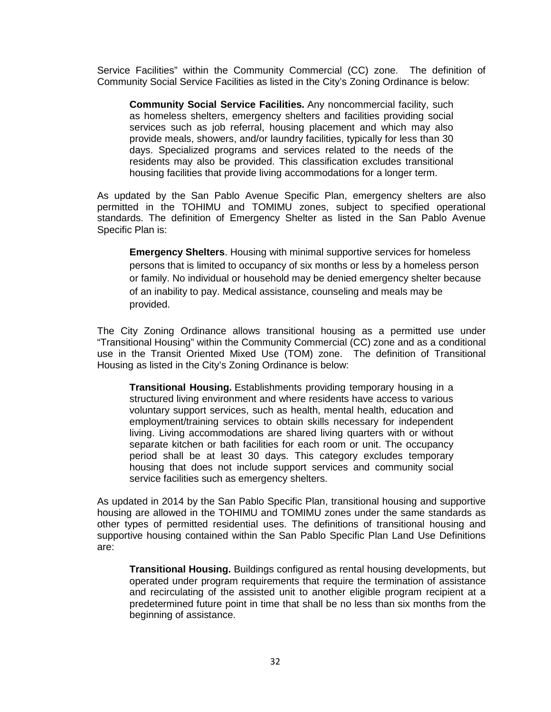Service Facilities" within the Community Commercial (CC) zone. The definition of Community Social Service Facilities as listed in the City's Zoning Ordinance is below:

**Community Social Service Facilities.** Any noncommercial facility, such as homeless shelters, emergency shelters and facilities providing social services such as job referral, housing placement and which may also provide meals, showers, and/or laundry facilities, typically for less than 30 days. Specialized programs and services related to the needs of the residents may also be provided. This classification excludes transitional housing facilities that provide living accommodations for a longer term.

As updated by the San Pablo Avenue Specific Plan, emergency shelters are also permitted in the TOHIMU and TOMIMU zones, subject to specified operational standards. The definition of Emergency Shelter as listed in the San Pablo Avenue Specific Plan is:

**Emergency Shelters**. Housing with minimal supportive services for homeless persons that is limited to occupancy of six months or less by a homeless person or family. No individual or household may be denied emergency shelter because of an inability to pay. Medical assistance, counseling and meals may be provided.

The City Zoning Ordinance allows transitional housing as a permitted use under "Transitional Housing" within the Community Commercial (CC) zone and as a conditional use in the Transit Oriented Mixed Use (TOM) zone. The definition of Transitional Housing as listed in the City's Zoning Ordinance is below:

**Transitional Housing.** Establishments providing temporary housing in a structured living environment and where residents have access to various voluntary support services, such as health, mental health, education and employment/training services to obtain skills necessary for independent living. Living accommodations are shared living quarters with or without separate kitchen or bath facilities for each room or unit. The occupancy period shall be at least 30 days. This category excludes temporary housing that does not include support services and community social service facilities such as emergency shelters.

As updated in 2014 by the San Pablo Specific Plan, transitional housing and supportive housing are allowed in the TOHIMU and TOMIMU zones under the same standards as other types of permitted residential uses. The definitions of transitional housing and supportive housing contained within the San Pablo Specific Plan Land Use Definitions are:

**Transitional Housing.** Buildings configured as rental housing developments, but operated under program requirements that require the termination of assistance and recirculating of the assisted unit to another eligible program recipient at a predetermined future point in time that shall be no less than six months from the beginning of assistance.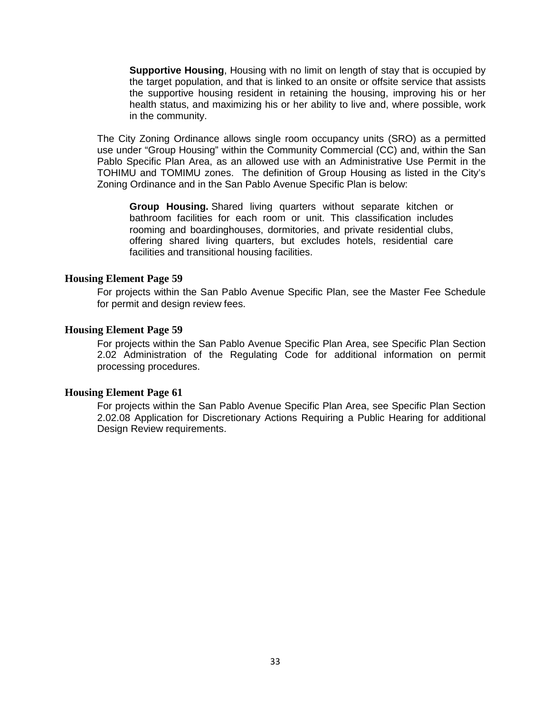**Supportive Housing**, Housing with no limit on length of stay that is occupied by the target population, and that is linked to an onsite or offsite service that assists the supportive housing resident in retaining the housing, improving his or her health status, and maximizing his or her ability to live and, where possible, work in the community.

The City Zoning Ordinance allows single room occupancy units (SRO) as a permitted use under "Group Housing" within the Community Commercial (CC) and, within the San Pablo Specific Plan Area, as an allowed use with an Administrative Use Permit in the TOHIMU and TOMIMU zones. The definition of Group Housing as listed in the City's Zoning Ordinance and in the San Pablo Avenue Specific Plan is below:

**Group Housing.** Shared living quarters without separate kitchen or bathroom facilities for each room or unit. This classification includes rooming and boardinghouses, dormitories, and private residential clubs, offering shared living quarters, but excludes hotels, residential care facilities and transitional housing facilities.

### **Housing Element Page 59**

For projects within the San Pablo Avenue Specific Plan, see the Master Fee Schedule for permit and design review fees.

### **Housing Element Page 59**

For projects within the San Pablo Avenue Specific Plan Area, see Specific Plan Section 2.02 Administration of the Regulating Code for additional information on permit processing procedures.

### **Housing Element Page 61**

For projects within the San Pablo Avenue Specific Plan Area, see Specific Plan Section 2.02.08 Application for Discretionary Actions Requiring a Public Hearing for additional Design Review requirements.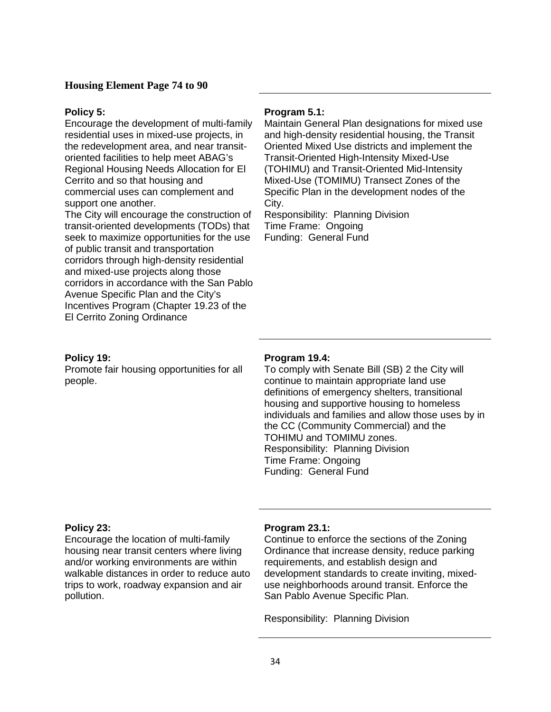### **Housing Element Page 74 to 90**

#### **Policy 5:**

Encourage the development of multi-family residential uses in mixed-use projects, in the redevelopment area, and near transitoriented facilities to help meet ABAG's Regional Housing Needs Allocation for El Cerrito and so that housing and commercial uses can complement and support one another.

The City will encourage the construction of transit-oriented developments (TODs) that seek to maximize opportunities for the use of public transit and transportation corridors through high-density residential and mixed-use projects along those corridors in accordance with the San Pablo Avenue Specific Plan and the City's Incentives Program (Chapter 19.23 of the El Cerrito Zoning Ordinance

#### **Policy 19:**

Promote fair housing opportunities for all people.

#### **Program 5.1:**

Maintain General Plan designations for mixed use and high-density residential housing, the Transit Oriented Mixed Use districts and implement the Transit-Oriented High-Intensity Mixed-Use (TOHIMU) and Transit-Oriented Mid-Intensity Mixed-Use (TOMIMU) Transect Zones of the Specific Plan in the development nodes of the City.

Responsibility: Planning Division Time Frame: Ongoing Funding: General Fund

#### **Program 19.4:**

To comply with Senate Bill (SB) 2 the City will continue to maintain appropriate land use definitions of emergency shelters, transitional housing and supportive housing to homeless individuals and families and allow those uses by in the CC (Community Commercial) and the TOHIMU and TOMIMU zones. Responsibility: Planning Division Time Frame: Ongoing Funding: General Fund

### **Policy 23:**

Encourage the location of multi-family housing near transit centers where living and/or working environments are within walkable distances in order to reduce auto trips to work, roadway expansion and air pollution.

#### **Program 23.1:**

Continue to enforce the sections of the Zoning Ordinance that increase density, reduce parking requirements, and establish design and development standards to create inviting, mixeduse neighborhoods around transit. Enforce the San Pablo Avenue Specific Plan.

Responsibility: Planning Division